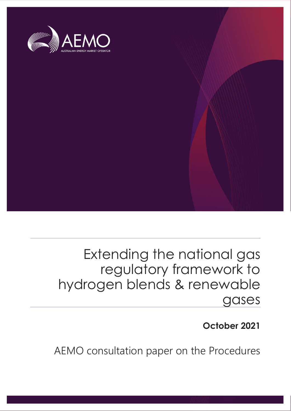

## Extending the national gas regulatory framework to hydrogen blends & renewable gases

## **October 2021**

AEMO consultation paper on the Procedures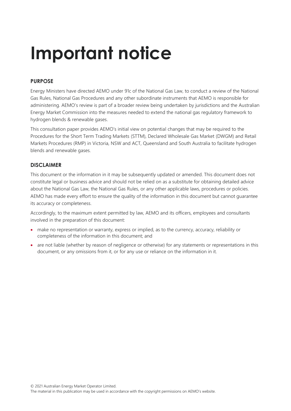# **Important notice**

## **PURPOSE**

Energy Ministers have directed AEMO under 91c of the National Gas Law, to conduct a review of the National Gas Rules, National Gas Procedures and any other subordinate instruments that AEMO is responsible for administering. AEMO's review is part of a broader review being undertaken by jurisdictions and the Australian Energy Market Commission into the measures needed to extend the national gas regulatory framework to hydrogen blends & renewable gases.

This consultation paper provides AEMO's initial view on potential changes that may be required to the Procedures for the Short Term Trading Markets (STTM), Declared Wholesale Gas Market (DWGM) and Retail Markets Procedures (RMP) in Victoria, NSW and ACT, Queensland and South Australia to facilitate hydrogen blends and renewable gases.

## **DISCLAIMER**

This document or the information in it may be subsequently updated or amended. This document does not constitute legal or business advice and should not be relied on as a substitute for obtaining detailed advice about the National Gas Law, the National Gas Rules, or any other applicable laws, procedures or policies. AEMO has made every effort to ensure the quality of the information in this document but cannot guarantee its accuracy or completeness.

Accordingly, to the maximum extent permitted by law, AEMO and its officers, employees and consultants involved in the preparation of this document:

- make no representation or warranty, express or implied, as to the currency, accuracy, reliability or completeness of the information in this document; and
- are not liable (whether by reason of negligence or otherwise) for any statements or representations in this document, or any omissions from it, or for any use or reliance on the information in it.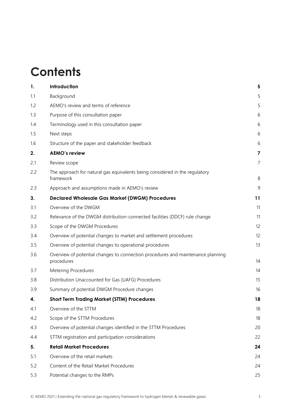## **Contents**

| 1.  | Introduction                                                                                  | 5                       |
|-----|-----------------------------------------------------------------------------------------------|-------------------------|
| 1.1 | Background                                                                                    | 5                       |
| 1.2 | AEMO's review and terms of reference                                                          | 5                       |
| 1.3 | Purpose of this consultation paper                                                            | 6                       |
| 1.4 | Terminology used in this consultation paper                                                   | 6                       |
| 1.5 | Next steps                                                                                    | 6                       |
| 1.6 | Structure of the paper and stakeholder feedback                                               | 6                       |
| 2.  | <b>AEMO's review</b>                                                                          | $\overline{\mathbf{z}}$ |
| 2.1 | Review scope                                                                                  | 7                       |
| 2.2 | The approach for natural gas equivalents being considered in the regulatory<br>framework      | 8                       |
| 2.3 | Approach and assumptions made in AEMO's review                                                | 9                       |
| 3.  | <b>Declared Wholesale Gas Market (DWGM) Procedures</b>                                        | 11                      |
| 3.1 | Overview of the DWGM                                                                          | 11                      |
| 3.2 | Relevance of the DWGM distribution-connected facilities (DDCF) rule change                    | 11                      |
| 3.3 | Scope of the DWGM Procedures                                                                  | 12                      |
| 3.4 | Overview of potential changes to market and settlement procedures                             | 12                      |
| 3.5 | Overview of potential changes to operational procedures                                       | 13                      |
| 3.6 | Overview of potential changes to connection procedures and maintenance planning<br>procedures | 14                      |
| 3.7 | <b>Metering Procedures</b>                                                                    | 14                      |
| 3.8 | Distribution Unaccounted for Gas (UAFG) Procedures                                            | 15                      |
| 3.9 | Summary of potential DWGM Procedure changes                                                   | 16                      |
| 4.  | <b>Short Term Trading Market (STTM) Procedures</b>                                            | 18                      |
| 4.1 | Overview of the STTM                                                                          | 18                      |
| 4.2 | Scope of the STTM Procedures                                                                  | 18                      |
| 4.3 | Overview of potential changes identified in the STTM Procedures                               | 20                      |
| 4.4 | STTM registration and participation considerations                                            | 22                      |
| 5.  | <b>Retail Market Procedures</b>                                                               | 24                      |
| 5.1 | Overview of the retail markets                                                                | 24                      |
| 5.2 | Content of the Retail Market Procedures                                                       | 24                      |
| 5.3 | Potential changes to the RMPs                                                                 | 25                      |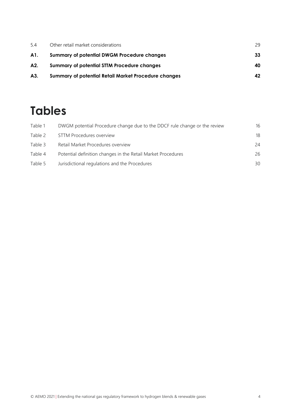| 5.4 | Other retail market considerations                          | 29 |
|-----|-------------------------------------------------------------|----|
| A1. | <b>Summary of potential DWGM Procedure changes</b>          | 33 |
| A2. | <b>Summary of potential STTM Procedure changes</b>          | 40 |
| A3. | <b>Summary of potential Retail Market Procedure changes</b> | 42 |

## **Tables**

| Table 1 | DWGM potential Procedure change due to the DDCF rule change or the review | 16 |
|---------|---------------------------------------------------------------------------|----|
| Table 2 | <b>STTM Procedures overview</b>                                           | 18 |
| Table 3 | Retail Market Procedures overview                                         | 24 |
| Table 4 | Potential definition changes in the Retail Market Procedures              | 26 |
| Table 5 | Jurisdictional regulations and the Procedures                             | 30 |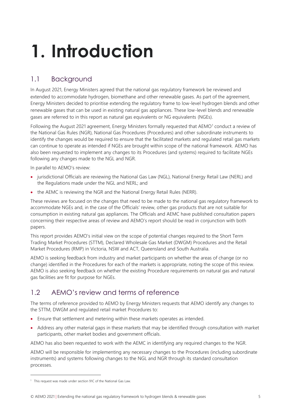# <span id="page-4-0"></span>**1. Introduction**

## <span id="page-4-1"></span>1.1 Background

In August 2021, Energy Ministers agreed that the national gas regulatory framework be reviewed and extended to accommodate hydrogen, biomethane and other renewable gases. As part of the agreement, Energy Ministers decided to prioritise extending the regulatory frame to low-level hydrogen blends and other renewable gases that can be used in existing natural gas appliances. These low-level blends and renewable gases are referred to in this report as natural gas equivalents or NG equivalents (NGEs).

Following the August 2021 agreement, Energy Ministers formally requested that  $AEMO<sup>1</sup>$  conduct a review of the National Gas Rules (NGR), National Gas Procedures (Procedures) and other subordinate instruments to identify the changes would be required to ensure that the facilitated markets and regulated retail gas markets can continue to operate as intended if NGEs are brought within scope of the national framework. AEMO has also been requested to implement any changes to its Procedures (and systems) required to facilitate NGEs following any changes made to the NGL and NGR.

In parallel to AEMO's review:

- jurisdictional Officials are reviewing the National Gas Law (NGL), National Energy Retail Law (NERL) and the Regulations made under the NGL and NERL; and
- the AEMC is reviewing the NGR and the National Energy Retail Rules (NERR).

These reviews are focused on the changes that need to be made to the national gas regulatory framework to accommodate NGEs and, in the case of the Officials' review, other gas products that are not suitable for consumption in existing natural gas appliances. The Officials and AEMC have published consultation papers concerning their respective areas of review and AEMO's report should be read in conjunction with both papers.

This report provides AEMO's initial view on the scope of potential changes required to the Short Term Trading Market Procedures (STTM), Declared Wholesale Gas Market (DWGM) Procedures and the Retail Market Procedures (RMP) in Victoria, NSW and ACT, Queensland and South Australia.

AEMO is seeking feedback from industry and market participants on whether the areas of change (or no change) identified in the Procedures for each of the markets is appropriate, noting the scope of this review. AEMO is also seeking feedback on whether the existing Procedure requirements on natural gas and natural gas facilities are fit for purpose for NGEs.

## <span id="page-4-2"></span>1.2 AEMO's review and terms of reference

The terms of reference provided to AEMO by Energy Ministers requests that AEMO identify any changes to the STTM, DWGM and regulated retail market Procedures to:

- Ensure that settlement and metering within these markets operates as intended.
- Address any other material gaps in these markets that may be identified through consultation with market participants, other market bodies and government officials.

AEMO has also been requested to work with the AEMC in identifying any required changes to the NGR.

AEMO will be responsible for implementing any necessary changes to the Procedures (including subordinate instruments) and systems following changes to the NGL and NGR through its standard consultation processes.

<sup>&</sup>lt;sup>1</sup> This request was made under section 91C of the National Gas Law.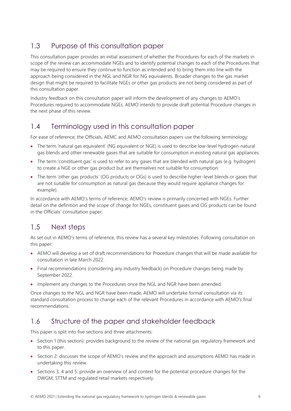## <span id="page-5-0"></span>1.3 Purpose of this consultation paper

This consultation paper provides an initial assessment of whether the Procedures for each of the markets in scope of the review can accommodate NGEs and to identify potential changes to each of the Procedures that may be required to ensure they continue to function as intended and to bring them into line with the approach being considered in the NGL and NGR for NG equivalents. Broader changes to the gas market design that might be required to facilitate NGEs or other gas products are not being considered as part of this consultation paper.

Industry feedback on this consultation paper will inform the development of any changes to AEMO's Procedures required to accommodate NGEs. AEMO intends to provide draft potential Procedure changes in the next phase of this review.

## <span id="page-5-1"></span>1.4 Terminology used in this consultation paper

For ease of reference, the Officials, AEMC and AEMO consultation papers use the following terminology:

- The term 'natural gas equivalent' (NG equivalent or NGE) is used to describe low-level hydrogen-natural gas blends and other renewable gases that are suitable for consumption in existing natural gas appliances.
- The term 'constituent gas' is used to refer to any gases that are blended with natural gas (e.g. hydrogen) to create a NGE or other gas product but are themselves not suitable for consumption.
- The term 'other gas products' (OG products or OGs) is used to describe higher-level blends or gases that are not suitable for consumption as natural gas (because they would require appliance changes for example).

In accordance with AEMO's terms of reference, AEMO's review is primarily concerned with NGEs. Further detail on the definition and the scope of change for NGEs, constituent gases and OG products can be found in the Officials' consultation paper.

## <span id="page-5-2"></span>1.5 Next steps

As set out in AEMO's terms of reference, this review has a several key milestones. Following consultation on this paper:

- AEMO will develop a set of draft recommendations for Procedure changes that will be made available for consultation in late March 2022.
- Final recommendations (considering any industry feedback) on Procedure changes being made by September 2022.
- Implement any changes to the Procedures once the NGL and NGR have been amended.

Once changes to the NGL and NGR have been made, AEMO will undertake formal consultation via its standard consultation process to change each of the relevant Procedures in accordance with AEMO's final recommendations.

## <span id="page-5-3"></span>1.6 Structure of the paper and stakeholder feedback

This paper is split into five sections and three attachments:

- Section 1 (this section): provides background to the review of the national gas regulatory framework and to this paper.
- Section 2: discusses the scope of AEMO's review and the approach and assumptions AEMO has made in undertaking this review.
- Sections 3, 4 and 5: provide an overview of and context for the potential procedure changes for the DWGM, STTM and regulated retail markets respectively.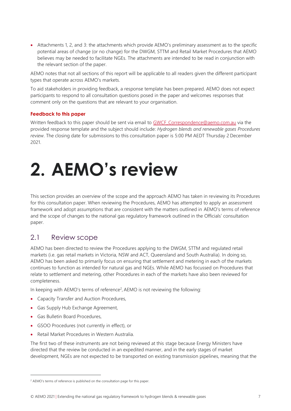• Attachments 1, 2, and 3: the attachments which provide AEMO's preliminary assessment as to the specific potential areas of change (or no change) for the DWGM, STTM and Retail Market Procedures that AEMO believes may be needed to facilitate NGEs. The attachments are intended to be read in conjunction with the relevant section of the paper.

AEMO notes that not all sections of this report will be applicable to all readers given the different participant types that operate across AEMO's markets.

To aid stakeholders in providing feedback, a response template has been prepared. AEMO does not expect participants to respond to all consultation questions posed in the paper and welcomes responses that comment only on the questions that are relevant to your organisation.

## **Feedback to this paper**

Written feedback to this paper should be sent via email to GWCF Correspondence@aemo.com.au via the provided response template and the subject should include: *Hydrogen blends and renewable gases Procedures review*. The closing date for submissions to this consultation paper is 5:00 PM AEDT Thursday 2 December 2021.

# <span id="page-6-0"></span>**2. AEMO's review**

This section provides an overview of the scope and the approach AEMO has taken in reviewing its Procedures for this consultation paper. When reviewing the Procedures, AEMO has attempted to apply an assessment framework and adopt assumptions that are consistent with the matters outlined in AEMO's terms of reference and the scope of changes to the national gas regulatory framework outlined in the Officials' consultation paper.

## <span id="page-6-1"></span>2.1 Review scope

AEMO has been directed to review the Procedures applying to the DWGM, STTM and regulated retail markets (i.e. gas retail markets in Victoria, NSW and ACT, Queensland and South Australia). In doing so, AEMO has been asked to primarily focus on ensuring that settlement and metering in each of the markets continues to function as intended for natural gas and NGEs. While AEMO has focussed on Procedures that relate to settlement and metering, other Procedures in each of the markets have also been reviewed for completeness.

In keeping with AEMO's terms of reference<sup>2</sup>, AEMO is not reviewing the following:

- Capacity Transfer and Auction Procedures,
- Gas Supply Hub Exchange Agreement,
- Gas Bulletin Board Procedures,
- GSOO Procedures (not currently in effect), or
- Retail Market Procedures in Western Australia.

The first two of these instruments are not being reviewed at this stage because Energy Ministers have directed that the review be conducted in an expedited manner, and in the early stages of market development, NGEs are not expected to be transported on existing transmission pipelines, meaning that the

<sup>&</sup>lt;sup>2</sup> AEMO's terms of reference is published on the consultation page for this paper.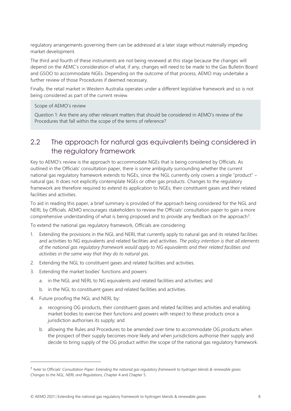regulatory arrangements governing them can be addressed at a later stage without materially impeding market development.

The third and fourth of these instruments are not being reviewed at this stage because the changes will depend on the AEMC's consideration of what, if any, changes will need to be made to the Gas Bulletin Board and GSOO to accommodate NGEs. Depending on the outcome of that process, AEMO may undertake a further review of those Procedures if deemed necessary.

Finally, the retail market in Western Australia operates under a different legislative framework and so is not being considered as part of the current review.

Scope of AEMO's review

Question 1: Are there any other relevant matters that should be considered in AEMO's review of the Procedures that fall within the scope of the terms of reference?

## <span id="page-7-0"></span>2.2 The approach for natural gas equivalents being considered in the regulatory framework

Key to AEMO's review is the approach to accommodate NGEs that is being considered by Officials. As outlined in the Officials' consultation paper, there is some ambiguity surrounding whether the current national gas regulatory framework extends to NGEs, since the NGL currently only covers a single "product" – natural gas. It does not explicitly contemplate NGEs or other gas products. Changes to the regulatory framework are therefore required to extend its application to NGEs, their constituent gases and their related facilities and activities.

To aid in reading this paper, a brief summary is provided of the approach being considered for the NGL and NERL by Officials. AEMO encourages stakeholders to review the Officials' consultation paper to gain a more comprehensive understanding of what is being proposed and to provide any feedback on the approach<sup>3</sup>.

To extend the national gas regulatory framework, Officials are considering:

- 1. Extending the provisions in the NGL and NERL that currently apply to natural gas and its related facilities and activities to NG equivalents and related facilities and activities. *The policy intention is that all elements of the national gas regulatory framework would apply to NG equivalents and their related facilities and activities in the same way that they do to natural gas.*
- 2. Extending the NGL to constituent gases and related facilities and activities.
- 3. Extending the market bodies' functions and powers:
	- a. in the NGL and NERL to NG equivalents and related facilities and activities; and
	- b. in the NGL to constituent gases and related facilities and activities.
- 4. Future proofing the NGL and NERL by:
	- a. recognising OG products, their constituent gases and related facilities and activities and enabling market bodies to exercise their functions and powers with respect to these products once a jurisdiction authorises its supply; and
	- b. allowing the Rules and Procedures to be amended over time to accommodate OG products when the prospect of their supply becomes more likely and when jurisdictions authorise their supply and decide to bring supply of the OG product within the scope of the national gas regulatory framework.

<sup>3</sup> Refer to Officials' *Consultation Paper: Extending the national gas regulatory framework to hydrogen blends & renewable gases Changes to the NGL, NERL and Regulations*, Chapter 4 and Chapter 5.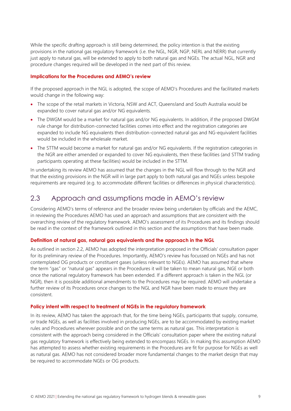While the specific drafting approach is still being determined, the policy intention is that the existing provisions in the national gas regulatory framework (i.e. the NGL, NGR, NGP, NERL and NERR) that currently just apply to natural gas, will be extended to apply to both natural gas and NGEs. The actual NGL, NGR and procedure changes required will be developed in the next part of this review.

#### **Implications for the Procedures and AEMO's review**

If the proposed approach in the NGL is adopted, the scope of AEMO's Procedures and the facilitated markets would change in the following way:

- The scope of the retail markets in Victoria, NSW and ACT, Queensland and South Australia would be expanded to cover natural gas and/or NG equivalents.
- The DWGM would be a market for natural gas and/or NG equivalents. In addition, if the proposed DWGM rule change for distribution-connected facilities comes into effect and the registration categories are expanded to include NG equivalents then distribution-connected natural gas and NG-equivalent facilities would be included in the wholesale market.
- The STTM would become a market for natural gas and/or NG equivalents. If the registration categories in the NGR are either amended or expanded to cover NG equivalents, then these facilities (and STTM trading participants operating at these facilities) would be included in the STTM.

In undertaking its review AEMO has assumed that the changes in the NGL will flow through to the NGR and that the existing provisions in the NGR will in large part apply to both natural gas and NGEs unless bespoke requirements are required (e.g. to accommodate different facilities or differences in physical characteristics).

## <span id="page-8-0"></span>2.3 Approach and assumptions made in AEMO's review

Considering AEMO's terms of reference and the broader review being undertaken by officials and the AEMC, in reviewing the Procedures AEMO has used an approach and assumptions that are consistent with the overarching review of the regulatory framework. AEMO's assessment of its Procedures and its findings should be read in the context of the framework outlined in this section and the assumptions that have been made.

### **Definition of natural gas, natural gas equivalents and the approach in the NGL**

As outlined in section 2.2, AEMO has adopted the interpretation proposed in the Officials' consultation paper for its preliminary review of the Procedures. Importantly, AEMO's review has focussed on NGEs and has not contemplated OG products or constituent gases (unless relevant to NGEs). AEMO has assumed that where the term "gas" or "natural gas" appears in the Procedures it will be taken to mean natural gas, NGE or both once the national regulatory framework has been extended. If a different approach is taken in the NGL (or NGR), then it is possible additional amendments to the Procedures may be required. AEMO will undertake a further review of its Procedures once changes to the NGL and NGR have been made to ensure they are consistent.

#### **Policy intent with respect to treatment of NGEs in the regulatory framework**

In its review, AEMO has taken the approach that, for the time being NGEs, participants that supply, consume, or trade NGEs, as well as facilities involved in producing NGEs, are to be accommodated by existing market rules and Procedures wherever possible and on the same terms as natural gas. This interpretation is consistent with the approach being considered in the Officials' consultation paper where the existing natural gas regulatory framework is effectively being extended to encompass NGEs. In making this assumption AEMO has attempted to assess whether existing requirements in the Procedures are fit for purpose for NGEs as well as natural gas. AEMO has not considered broader more fundamental changes to the market design that may be required to accommodate NGEs or OG products.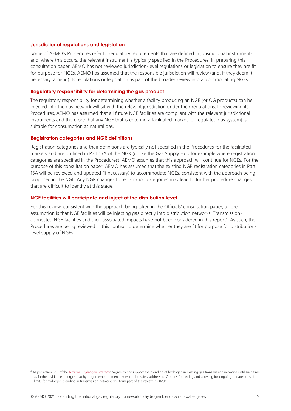#### **Jurisdictional regulations and legislation**

Some of AEMO's Procedures refer to regulatory requirements that are defined in jurisdictional instruments and, where this occurs, the relevant instrument is typically specified in the Procedures. In preparing this consultation paper, AEMO has not reviewed jurisdiction-level regulations or legislation to ensure they are fit for purpose for NGEs. AEMO has assumed that the responsible jurisdiction will review (and, if they deem it necessary, amend) its regulations or legislation as part of the broader review into accommodating NGEs.

#### **Regulatory responsibility for determining the gas product**

The regulatory responsibility for determining whether a facility producing an NGE (or OG products) can be injected into the gas network will sit with the relevant jurisdiction under their regulations. In reviewing its Procedures, AEMO has assumed that all future NGE facilities are compliant with the relevant jurisdictional instruments and therefore that any NGE that is entering a facilitated market (or regulated gas system) is suitable for consumption as natural gas.

#### **Registration categories and NGR definitions**

Registration categories and their definitions are typically not specified in the Procedures for the facilitated markets and are outlined in Part 15A of the NGR (unlike the Gas Supply Hub for example where registration categories are specified in the Procedures). AEMO assumes that this approach will continue for NGEs. For the purpose of this consultation paper, AEMO has assumed that the existing NGR registration categories in Part 15A will be reviewed and updated (if necessary) to accommodate NGEs, consistent with the approach being proposed in the NGL. Any NGR changes to registration categories may lead to further procedure changes that are difficult to identify at this stage.

#### **NGE facilities will participate and inject at the distribution level**

For this review, consistent with the approach being taken in the Officials' consultation paper, a core assumption is that NGE facilities will be injecting gas directly into distribution networks. Transmissionconnected NGE facilities and their associated impacts have not been considered in this report<sup>4</sup>. As such, the Procedures are being reviewed in this context to determine whether they are fit for purpose for distributionlevel supply of NGEs.

<sup>4</sup> As per action 3.15 of th[e National Hydrogen Strategy:](https://www.industry.gov.au/sites/default/files/2019-11/australias-national-hydrogen-strategy.pdf) "Agree to not support the blending of hydrogen in existing gas transmission networks until such time as further evidence emerges that hydrogen embrittlement issues can be safely addressed. Options for setting and allowing for ongoing updates of safe limits for hydrogen blending in transmission networks will form part of the review in 2020."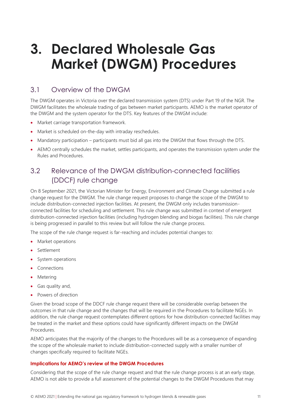## <span id="page-10-0"></span>**3. Declared Wholesale Gas Market (DWGM) Procedures**

## <span id="page-10-1"></span>3.1 Overview of the DWGM

The DWGM operates in Victoria over the declared transmission system (DTS) under Part 19 of the NGR. The DWGM facilitates the wholesale trading of gas between market participants. AEMO is the market operator of the DWGM and the system operator for the DTS. Key features of the DWGM include:

- Market carriage transportation framework.
- Market is scheduled on-the-day with intraday reschedules.
- Mandatory participation participants must bid all gas into the DWGM that flows through the DTS.
- AEMO centrally schedules the market, settles participants, and operates the transmission system under the Rules and Procedures.

## <span id="page-10-2"></span>3.2 Relevance of the DWGM distribution-connected facilities (DDCF) rule change

On 8 September 2021, the Victorian Minister for Energy, Environment and Climate Change submitted a rule change request for the DWGM. The rule change request proposes to change the scope of the DWGM to include distribution-connected injection facilities. At present, the DWGM only includes transmissionconnected facilities for scheduling and settlement. This rule change was submitted in context of emergent distribution-connected injection facilities (including hydrogen blending and biogas facilities). This rule change is being progressed in parallel to this review but will follow the rule change process.

The scope of the rule change request is far-reaching and includes potential changes to:

- Market operations
- Settlement
- System operations
- Connections
- Metering
- Gas quality and,
- Powers of direction

Given the broad scope of the DDCF rule change request there will be considerable overlap between the outcomes in that rule change and the changes that will be required in the Procedures to facilitate NGEs. In addition, the rule change request contemplates different options for how distribution-connected facilities may be treated in the market and these options could have significantly different impacts on the DWGM Procedures.

AEMO anticipates that the majority of the changes to the Procedures will be as a consequence of expanding the scope of the wholesale market to include distribution-connected supply with a smaller number of changes specifically required to facilitate NGEs.

## **Implications for AEMO's review of the DWGM Procedures**

Considering that the scope of the rule change request and that the rule change process is at an early stage, AEMO is not able to provide a full assessment of the potential changes to the DWGM Procedures that may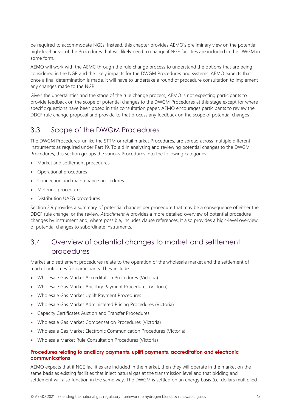be required to accommodate NGEs. Instead, this chapter provides AEMO's preliminary view on the potential high-level areas of the Procedures that will likely need to change if NGE facilities are included in the DWGM in some form.

AEMO will work with the AEMC through the rule change process to understand the options that are being considered in the NGR and the likely impacts for the DWGM Procedures and systems. AEMO expects that once a final determination is made, it will have to undertake a round of procedure consultation to implement any changes made to the NGR.

Given the uncertainties and the stage of the rule change process, AEMO is not expecting participants to provide feedback on the scope of potential changes to the DWGM Procedures at this stage except for where specific questions have been posed in this consultation paper. AEMO encourages participants to review the DDCF rule change proposal and provide to that process any feedback on the scope of potential changes.

## <span id="page-11-0"></span>3.3 Scope of the DWGM Procedures

The DWGM Procedures, unlike the STTM or retail market Procedures, are spread across multiple different instruments as required under Part 19. To aid in analysing and reviewing potential changes to the DWGM Procedures, this section groups the various Procedures into the following categories:

- Market and settlement procedures
- Operational procedures
- Connection and maintenance procedures
- Metering procedures
- Distribution UAFG procedures

Section 3.9 provides a summary of potential changes per procedure that may be a consequence of either the DDCF rule change, or the review. *Attachment A* provides a more detailed overview of potential procedure changes by instrument and, where possible, includes clause references. It also provides a high-level overview of potential changes to subordinate instruments.

## <span id="page-11-1"></span>3.4 Overview of potential changes to market and settlement procedures

Market and settlement procedures relate to the operation of the wholesale market and the settlement of market outcomes for participants. They include:

- Wholesale Gas Market Accreditation Procedures (Victoria)
- Wholesale Gas Market Ancillary Payment Procedures (Victoria)
- Wholesale Gas Market Uplift Payment Procedures
- Wholesale Gas Market Administered Pricing Procedures (Victoria)
- Capacity Certificates Auction and Transfer Procedures
- Wholesale Gas Market Compensation Procedures (Victoria)
- Wholesale Gas Market Electronic Communication Procedures (Victoria)
- Wholesale Market Rule Consultation Procedures (Victoria)

## **Procedures relating to ancillary payments, uplift payments, accreditation and electronic communications**

AEMO expects that if NGE facilities are included in the market, then they will operate in the market on the same basis as existing facilities that inject natural gas at the transmission level and that bidding and settlement will also function in the same way. The DWGM is settled on an energy basis (i.e. dollars multiplied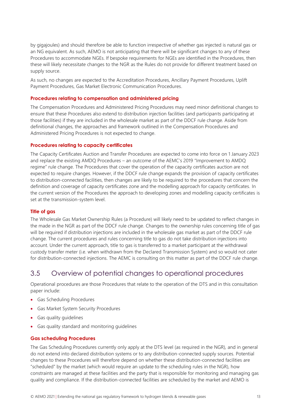by gigajoules) and should therefore be able to function irrespective of whether gas injected is natural gas or an NG equivalent. As such, AEMO is not anticipating that there will be significant changes to any of these Procedures to accommodate NGEs. If bespoke requirements for NGEs are identified in the Procedures, then these will likely necessitate changes to the NGR as the Rules do not provide for different treatment based on supply source.

As such, no changes are expected to the Accreditation Procedures, Ancillary Payment Procedures, Uplift Payment Procedures, Gas Market Electronic Communication Procedures.

## **Procedures relating to compensation and administered pricing**

The Compensation Procedures and Administered Pricing Procedures may need minor definitional changes to ensure that these Procedures also extend to distribution injection facilities (and participants participating at those facilities) if they are included in the wholesale market as part of the DDCF rule change. Aside from definitional changes, the approaches and framework outlined in the Compensation Procedures and Administered Pricing Procedures is not expected to change.

### **Procedures relating to capacity certificates**

The Capacity Certificates Auction and Transfer Procedures are expected to come into force on 1 January 2023 and replace the existing AMDQ Procedures – an outcome of the AEMC's 2019 "Improvement to AMDQ regime" rule change. The Procedures that cover the operation of the capacity certificates auction are not expected to require changes. However, if the DDCF rule change expands the provision of capacity certificates to distribution-connected facilities, then changes are likely to be required to the procedures that concern the definition and coverage of capacity certificates zone and the modelling approach for capacity certificates. In the current version of the Procedures the approach to developing zones and modelling capacity certificates is set at the transmission-system level.

### **Title of gas**

The Wholesale Gas Market Ownership Rules (a Procedure) will likely need to be updated to reflect changes in the made in the NGR as part of the DDCF rule change. Changes to the ownership rules concerning title of gas will be required if distribution injections are included in the wholesale gas market as part of the DDCF rule change. The current procedures and rules concerning title to gas do not take distribution injections into account. Under the current approach, title to gas is transferred to a market participant at the withdrawal custody transfer meter (i.e. when withdrawn from the Declared Transmission System) and so would not cater for distribution-connected injections. The AEMC is consulting on this matter as part of the DDCF rule change.

## <span id="page-12-0"></span>3.5 Overview of potential changes to operational procedures

Operational procedures are those Procedures that relate to the operation of the DTS and in this consultation paper include:

- Gas Scheduling Procedures
- Gas Market System Security Procedures
- Gas quality guidelines
- Gas quality standard and monitoring guidelines

## **Gas scheduling Procedures**

The Gas Scheduling Procedures currently only apply at the DTS level (as required in the NGR), and in general do not extend into declared distribution systems or to any distribution-connected supply sources. Potential changes to these Procedures will therefore depend on whether these distribution-connected facilities are "scheduled" by the market (which would require an update to the scheduling rules in the NGR), how constraints are managed at these facilities and the party that is responsible for monitoring and managing gas quality and compliance. If the distribution-connected facilities are scheduled by the market and AEMO is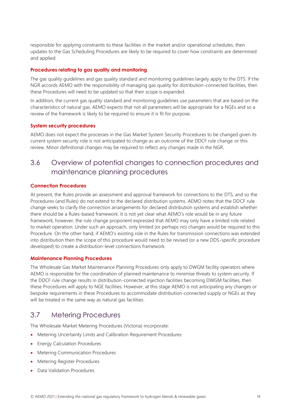responsible for applying constraints to these facilities in the market and/or operational schedules, then updates to the Gas Scheduling Procedures are likely to be required to cover how constraints are determined and applied.

## **Procedures relating to gas quality and monitoring**

The gas quality guidelines and gas quality standard and monitoring guidelines largely apply to the DTS. If the NGR accords AEMO with the responsibility of managing gas quality for distribution-connected facilities, then these Procedures will need to be updated so that their scope is expanded.

In addition, the current gas quality standard and monitoring guidelines use parameters that are based on the characteristics of natural gas. AEMO expects that not all parameters will be appropriate for a NGEs and so a review of the framework is likely to be required to ensure it is fit for purpose.

## **System security procedures**

AEMO does not expect the processes in the Gas Market System Security Procedures to be changed given its current system security role is not anticipated to change as an outcome of the DDCF rule change or this review. Minor definitional changes may be required to reflect any changes made in the NGR.

## <span id="page-13-0"></span>3.6 Overview of potential changes to connection procedures and maintenance planning procedures

## **Connection Procedures**

At present, the Rules provide an assessment and approval framework for connections to the DTS, and so the Procedures (and Rules) do not extend to the declared distribution systems. AEMO notes that the DDCF rule change seeks to clarify the connection arrangements for declared distribution systems and establish whether there should be a Rules-based framework. It is not yet clear what AEMO's role would be in any future framework; however, the rule change proponent expressed that AEMO may only have a limited role related to market operation. Under such an approach, only limited (or perhaps no) changes would be required to this Procedure. On the other hand, if AEMO's existing role in the Rules for transmission connections was extended into distribution then the scope of this procedure would need to be revised (or a new DDS-specific procedure developed) to create a distribution-level connections framework.

### **Maintenance Planning Procedures**

The Wholesale Gas Market Maintenance Planning Procedures only apply to DWGM facility operators where AEMO is responsible for the coordination of planned maintenance to minimise threats to system security. If the DDCF rule change results in distribution-connected injection facilities becoming DWGM facilities, then these Procedures will apply to NGE facilities. However, at this stage AEMO is not anticipating any changes or bespoke requirements in these Procedures to accommodate distribution-connected supply or NGEs as they will be treated in the same way as natural gas facilities.

## <span id="page-13-1"></span>3.7 Metering Procedures

The Wholesale Market Metering Procedures (Victoria) incorporate:

- Metering Uncertainty Limits and Calibration Requirement Procedures
- Energy Calculation Procedures
- Metering Communication Procedures
- Metering Register Procedures
- Data Validation Procedures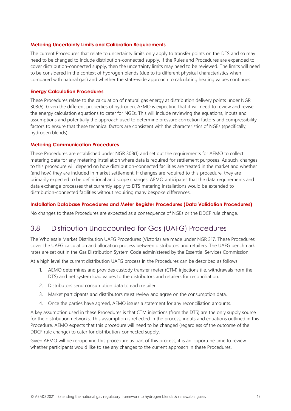#### **Metering Uncertainty Limits and Calibration Requirements**

The current Procedures that relate to uncertainty limits only apply to transfer points on the DTS and so may need to be changed to include distribution-connected supply. If the Rules and Procedures are expanded to cover distribution-connected supply, then the uncertainty limits may need to be reviewed. The limits will need to be considered in the context of hydrogen blends (due to its different physical characteristics when compared with natural gas) and whether the state-wide approach to calculating heating values continues.

#### **Energy Calculation Procedures**

These Procedures relate to the calculation of natural gas energy at distribution delivery points under NGR 303(6). Given the different properties of hydrogen, AEMO is expecting that it will need to review and revise the energy calculation equations to cater for NGEs. This will include reviewing the equations, inputs and assumptions and potentially the approach used to determine pressure correction factors and compressibility factors to ensure that these technical factors are consistent with the characteristics of NGEs (specifically, hydrogen blends).

#### **Metering Communication Procedures**

These Procedures are established under NGR 308(1) and set out the requirements for AEMO to collect metering data for any metering installation where data is required for settlement purposes. As such, changes to this procedure will depend on how distribution-connected facilities are treated in the market and whether (and how) they are included in market settlement. If changes are required to this procedure, they are primarily expected to be definitional and scope changes. AEMO anticipates that the data requirements and data exchange processes that currently apply to DTS metering installations would be extended to distribution-connected facilities without requiring many bespoke differences.

#### **Installation Database Procedures and Meter Register Procedures (Data Validation Procedures)**

<span id="page-14-0"></span>No changes to these Procedures are expected as a consequence of NGEs or the DDCF rule change.

## 3.8 Distribution Unaccounted for Gas (UAFG) Procedures

The Wholesale Market Distribution UAFG Procedures (Victoria) are made under NGR 317. These Procedures cover the UAFG calculation and allocation process between distributors and retailers. The UAFG benchmark rates are set out in the Gas Distribution System Code administered by the Essential Services Commission.

At a high level the current distribution UAFG process in the Procedures can be described as follows:

- 1. AEMO determines and provides custody transfer meter (CTM) injections (i.e. withdrawals from the DTS) and net system load values to the distributors and retailers for reconciliation.
- 2. Distributors send consumption data to each retailer.
- 3. Market participants and distributors must review and agree on the consumption data.
- 4. Once the parties have agreed, AEMO issues a statement for any reconciliation amounts.

A key assumption used in these Procedures is that CTM injections (from the DTS) are the only supply source for the distribution networks. This assumption is reflected in the process, inputs and equations outlined in this Procedure. AEMO expects that this procedure will need to be changed (regardless of the outcome of the DDCF rule change) to cater for distribution-connected supply.

Given AEMO will be re-opening this procedure as part of this process, it is an opportune time to review whether participants would like to see any changes to the current approach in these Procedures.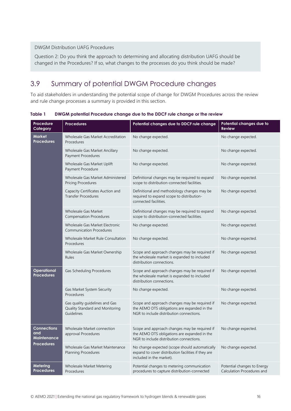## DWGM Distribution UAFG Procedures

Question 2: Do you think the approach to determining and allocating distribution UAFG should be changed in the Procedures? If so, what changes to the processes do you think should be made?

## <span id="page-15-0"></span>3.9 Summary of potential DWGM Procedure changes

To aid stakeholders in understanding the potential scope of change for DWGM Procedures across the review and rule change processes a summary is provided in this section.

<span id="page-15-1"></span>**Table 1 DWGM potential Procedure change due to the DDCF rule change or the review**

| Procedure<br>Category                    | <b>Procedures</b>                                                               | Potential changes due to DDCF rule change                                                                                                 | Potential changes due to<br><b>Review</b>                 |
|------------------------------------------|---------------------------------------------------------------------------------|-------------------------------------------------------------------------------------------------------------------------------------------|-----------------------------------------------------------|
| <b>Market</b><br><b>Procedures</b>       | Wholesale Gas Market Accreditation<br>Procedures                                | No change expected.                                                                                                                       | No change expected.                                       |
|                                          | Wholesale Gas Market Ancillary<br>Payment Procedures                            | No change expected.                                                                                                                       | No change expected.                                       |
|                                          | Wholesale Gas Market Uplift<br>Payment Procedure                                | No change expected.                                                                                                                       | No change expected.                                       |
|                                          | Wholesale Gas Market Administered<br><b>Pricing Procedures</b>                  | Definitional changes may be required to expand<br>scope to distribution-connected facilities.                                             | No change expected.                                       |
|                                          | Capacity Certificates Auction and<br>Transfer Procedures                        | Definitional and methodology changes may be<br>required to expand scope to distribution-<br>connected facilities.                         | No change expected.                                       |
|                                          | <b>Wholesale Gas Market</b><br><b>Compensation Procedures</b>                   | Definitional changes may be required to expand<br>scope to distribution-connected facilities.                                             | No change expected.                                       |
|                                          | Wholesale Gas Market Electronic<br><b>Communication Procedures</b>              | No change expected.                                                                                                                       | No change expected.                                       |
|                                          | Wholesale Market Rule Consultation<br>Procedures                                | No change expected.                                                                                                                       | No change expected.                                       |
|                                          | Wholesale Gas Market Ownership<br>Rules                                         | Scope and approach changes may be required if<br>the wholesale market is expanded to included<br>distribution connections.                | No change expected.                                       |
| Operational<br><b>Procedures</b>         | Gas Scheduling Procedures                                                       | Scope and approach changes may be required if<br>the wholesale market is expanded to included<br>distribution connections.                | No change expected.                                       |
|                                          | Gas Market System Security<br>Procedures                                        | No change expected.                                                                                                                       | No change expected.                                       |
|                                          | Gas quality guidelines and Gas<br>Quality Standard and Monitoring<br>Guidelines | Scope and approach changes may be required if<br>the AEMO DTS obligations are expanded in the<br>NGR to include distribution connections. | No change expected.                                       |
| <b>Connections</b><br>and<br>Maintenance | Wholesale Market connection<br>approval Procedures                              | Scope and approach changes may be required if<br>the AEMO DTS obligations are expanded in the<br>NGR to include distribution connections. | No change expected.                                       |
| <b>Procedures</b>                        | Wholesale Gas Market Maintenance<br>Planning Procedures                         | No change expected (scope should automatically<br>expand to cover distribution facilities if they are<br>included in the market).         | No change expected.                                       |
| Metering<br><b>Procedures</b>            | Wholesale Market Metering<br>Procedures                                         | Potential changes to metering communication<br>procedures to capture distribution-connected                                               | Potential changes to Energy<br>Calculation Procedures and |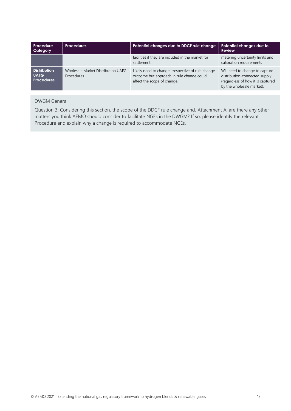| Procedure<br>Category                                   | <b>Procedures</b>                                | Potential changes due to DDCF rule change                                                                                     | Potential changes due to<br><b>Review</b>                                                                                         |
|---------------------------------------------------------|--------------------------------------------------|-------------------------------------------------------------------------------------------------------------------------------|-----------------------------------------------------------------------------------------------------------------------------------|
|                                                         |                                                  | facilities if they are included in the market for<br>settlement.                                                              | metering uncertainty limits and<br>calibration requirements                                                                       |
| <b>Distribution</b><br><b>UAFG</b><br><b>Procedures</b> | Wholesale Market Distribution UAFG<br>Procedures | Likely need to change irrespective of rule change<br>outcome but approach in rule change could<br>affect the scope of change. | Will need to change to capture<br>distribution-connected supply<br>(regardless of how it is captured<br>by the wholesale market). |

## DWGM General

Question 3: Considering this section, the scope of the DDCF rule change and, Attachment A, are there any other matters you think AEMO should consider to facilitate NGEs in the DWGM? If so, please identify the relevant Procedure and explain why a change is required to accommodate NGEs.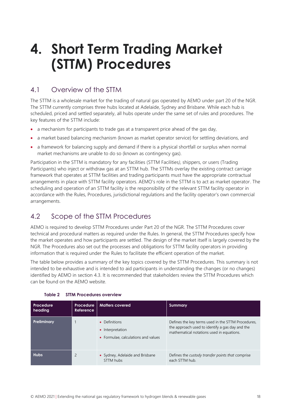## <span id="page-17-0"></span>**4. Short Term Trading Market (STTM) Procedures**

## <span id="page-17-1"></span>4.1 Overview of the STTM

The STTM is a wholesale market for the trading of natural gas operated by AEMO under part 20 of the NGR. The STTM currently comprises three hubs located at Adelaide, Sydney and Brisbane. While each hub is scheduled, priced and settled separately, all hubs operate under the same set of rules and procedures. The key features of the STTM include:

- a mechanism for participants to trade gas at a transparent price ahead of the gas day,
- a market based balancing mechanism (known as market operator service) for settling deviations, and
- a framework for balancing supply and demand if there is a physical shortfall or surplus when normal market mechanisms are unable to do so (known as contingency gas).

Participation in the STTM is mandatory for any facilities (STTM Facilities*)*, shippers, or users (Trading Participants) who inject or withdraw gas at an STTM hub. The STTMs overlay the existing contract carriage framework that operates at STTM facilities and trading participants must have the appropriate contractual arrangements in place with STTM facility operators. AEMO's role in the STTM is to act as market operator. The scheduling and operation of an STTM facility is the responsibility of the relevant STTM facility operator in accordance with the Rules, Procedures, jurisdictional regulations and the facility operator's own commercial arrangements.

## <span id="page-17-2"></span>4.2 Scope of the STTM Procedures

AEMO is required to develop STTM Procedures under Part 20 of the NGR. The STTM Procedures cover technical and procedural matters as required under the Rules. In general, the STTM Procedures specify how the market operates and how participants are settled. The design of the market itself is largely covered by the NGR. The Procedures also set out the processes and obligations for STTM facility operators in providing information that is required under the Rules to facilitate the efficient operation of the market.

The table below provides a summary of the key topics covered by the STTM Procedures. This summary is not intended to be exhaustive and is intended to aid participants in understanding the changes (or no changes) identified by AEMO in section 4.3. It is recommended that stakeholders review the STTM Procedures which can be found on the AEMO website.

<span id="page-17-3"></span>

| Procedure<br>heading | Procedure<br>Reference | <b>Matters covered</b>                                                   | Summary                                                                                                                                            |
|----------------------|------------------------|--------------------------------------------------------------------------|----------------------------------------------------------------------------------------------------------------------------------------------------|
| Preliminary          |                        | • Definitions<br>• Interpretation<br>• Formulae, calculations and values | Defines the key terms used in the STTM Procedures,<br>the approach used to identify a gas day and the<br>mathematical notations used in equations. |
| <b>Hubs</b>          | 2                      | • Sydney, Adelaide and Brisbane<br>STTM hubs                             | Defines the <i>custody transfer points that</i> comprise<br>each STTM hub.                                                                         |

|  | Table 2  STTM Procedures overview |  |
|--|-----------------------------------|--|
|  |                                   |  |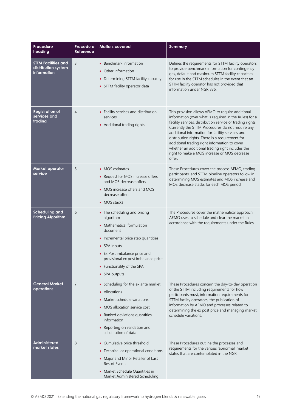| <b>Procedure</b><br>heading                                      | <b>Procedure</b><br>Reference | <b>Matters covered</b>                                                                                                                                                                                                                                            | <b>Summary</b>                                                                                                                                                                                                                                                                                                                                                                                                                                                                                     |
|------------------------------------------------------------------|-------------------------------|-------------------------------------------------------------------------------------------------------------------------------------------------------------------------------------------------------------------------------------------------------------------|----------------------------------------------------------------------------------------------------------------------------------------------------------------------------------------------------------------------------------------------------------------------------------------------------------------------------------------------------------------------------------------------------------------------------------------------------------------------------------------------------|
| <b>STTM Facilities and</b><br>distribution system<br>information | 3                             | • Benchmark information<br>• Other information<br>• Determining STTM facility capacity<br>• STTM facility operator data                                                                                                                                           | Defines the requirements for STTM facility operators<br>to provide benchmark information for contingency<br>gas, default and maximum STTM facility capacities<br>for use in the STTM schedules in the event that an<br>STTM facility operator has not provided that<br>information under NGR 376.                                                                                                                                                                                                  |
| <b>Registration of</b><br>services and<br>trading                | $\overline{4}$                | • Facility services and distribution<br>services<br>• Additional trading rights                                                                                                                                                                                   | This provision allows AEMO to require additional<br>information (over what is required in the Rules) for a<br>facility services, distribution service or trading rights.<br>Currently the STTM Procedures do not require any<br>additional information for facility services and<br>distribution rights. There is a requirement for<br>additional trading right information to cover<br>whether an additional trading right includes the<br>right to make a MOS increase or MOS decrease<br>offer. |
| <b>Market operator</b><br>service                                | 5                             | • MOS estimates<br>• Request for MOS increase offers<br>and MOS decrease offers<br>• MOS increase offers and MOS<br>decrease offers<br>• MOS stacks                                                                                                               | These Procedures cover the process AEMO, trading<br>participants, and STTM pipeline operators follow in<br>determining MOS estimates and MOS increase and<br>MOS decrease stacks for each MOS period.                                                                                                                                                                                                                                                                                              |
| <b>Scheduling and</b><br><b>Pricing Algorithm</b>                | 6                             | • The scheduling and pricing<br>algorithm<br>• Mathematical formulation<br>document<br>• Incremental price step quantities<br>• SPA inputs<br>• Ex Post imbalance price and<br>provisional ex post imbalance price<br>• Functionality of the SPA<br>• SPA outputs | The Procedures cover the mathematical approach<br>AEMO uses to schedule and clear the market in<br>accordance with the requirements under the Rules.                                                                                                                                                                                                                                                                                                                                               |
| <b>General Market</b><br>operations                              | 7                             | • Scheduling for the ex ante market<br>• Allocations<br>• Market schedule variations<br>• MOS allocation service cost<br>• Ranked deviations quantities<br>information<br>• Reporting on validation and<br>substitution of data                                   | These Procedures concern the day-to-day operation<br>of the STTM including requirements for how<br>participants must, information requirements for<br>STTM facility operators, the publication of<br>information by AEMO and processes related to<br>determining the ex post price and managing market<br>schedule variations.                                                                                                                                                                     |
| <b>Administered</b><br>market states                             | 8                             | • Cumulative price threshold<br>• Technical or operational conditions<br>• Major and Minor Retailer of Last<br><b>Resort Events</b><br>• Market Schedule Quantities in<br>Market Administered Scheduling                                                          | These Procedures outline the processes and<br>requirements for the various 'abnormal' market<br>states that are contemplated in the NGR.                                                                                                                                                                                                                                                                                                                                                           |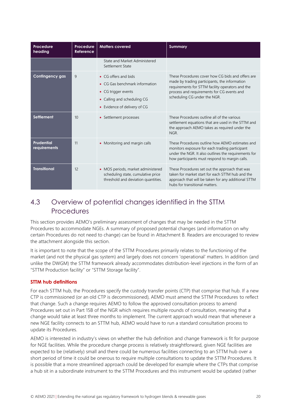| Procedure<br>heading              | Procedure<br>Reference | <b>Matters covered</b>                                                                                                                       | <b>Summary</b>                                                                                                                                                                                                                       |
|-----------------------------------|------------------------|----------------------------------------------------------------------------------------------------------------------------------------------|--------------------------------------------------------------------------------------------------------------------------------------------------------------------------------------------------------------------------------------|
|                                   |                        | State and Market Administered<br>Settlement State                                                                                            |                                                                                                                                                                                                                                      |
| <b>Contingency gas</b>            | 9                      | • CG offers and bids<br>• CG Gas benchmark information<br>• CG trigger events<br>• Calling and scheduling CG<br>• Evidence of delivery of CG | These Procedures cover how CG bids and offers are<br>made by trading participants, the information<br>requirements for STTM facility operators and the<br>process and requirements for CG events and<br>scheduling CG under the NGR. |
| <b>Settlement</b>                 | 10                     | • Settlement processes                                                                                                                       | These Procedures outline all of the various<br>settlement equations that are used in the STTM and<br>the approach AEMO takes as required under the<br>NGR.                                                                           |
| <b>Prudential</b><br>requirements | 11                     | • Monitoring and margin calls                                                                                                                | These Procedures outline how AEMO estimates and<br>monitors exposure for each trading participant<br>under the NGR. It also outlines the requirements for<br>how participants must respond to margin calls.                          |
| <b>Transitional</b>               | 12                     | • MOS periods, market administered<br>scheduling state, cumulative price<br>threshold and deviation quantities.                              | These Procedures set out the approach that was<br>taken for market start for each STTM hub and the<br>approach that will be taken for any additional STTM<br>hubs for transitional matters.                                          |

## <span id="page-19-0"></span>4.3 Overview of potential changes identified in the STTM **Procedures**

This section provides AEMO's preliminary assessment of changes that may be needed in the STTM Procedures to accommodate NGEs. A summary of proposed potential changes (and information on why certain Procedures do not need to change) can be found in Attachment B*.* Readers are encouraged to review the attachment alongside this section.

It is important to note that the scope of the STTM Procedures primarily relates to the functioning of the market (and not the physical gas system) and largely does not concern 'operational' matters. In addition (and unlike the DWGM) the STTM framework already accommodates distribution-level injections in the form of an "STTM Production facility" or "STTM Storage facility".

## **STTM hub definitions**

For each STTM hub, the Procedures specify the custody transfer points (CTP) that comprise that hub. If a new CTP is commissioned (or an old CTP is decommissioned), AEMO must amend the STTM Procedures to reflect that change. Such a change requires AEMO to follow the approved consultation process to amend Procedures set out in Part 15B of the NGR which requires multiple rounds of consultation, meaning that a change would take at least three months to implement. The current approach would mean that whenever a new NGE facility connects to an STTM hub, AEMO would have to run a standard consultation process to update its Procedures.

AEMO is interested in industry's views on whether the hub definition and change framework is fit for purpose for NGE facilities. While the procedure change process is relatively straightforward, given NGE facilities are expected to be (relatively) small and there could be numerous facilities connecting to an STTM hub over a short period of time it could be onerous to require multiple consultations to update the STTM Procedures. It is possible that a more streamlined approach could be developed for example where the CTPs that comprise a hub sit in a subordinate instrument to the STTM Procedures and this instrument would be updated (rather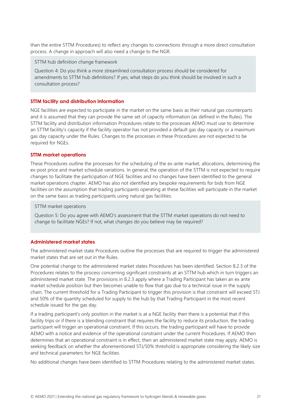than the entire STTM Procedures) to reflect any changes to connections through a more direct consultation process. A change in approach will also need a change to the NGR.

STTM hub definition change framework

Question 4: Do you think a more streamlined consultation process should be considered for amendments to STTM hub definitions? If yes, what steps do you think should be involved in such a consultation process?

#### **STTM facility and distribution information**

NGE facilities are expected to participate in the market on the same basis as their natural gas counterparts and it is assumed that they can provide the same set of capacity information (as defined in the Rules). The STTM facility and distribution information Procedures relate to the processes AEMO must use to determine an STTM facility's capacity if the facility operator has not provided a default gas day capacity or a maximum gas day capacity under the Rules. Changes to the processes in these Procedures are not expected to be required for NGEs.

#### **STTM market operations**

These Procedures outline the processes for the scheduling of the ex-ante market, allocations, determining the ex-post price and market schedule variations. In general, the operation of the STTM is not expected to require changes to facilitate the participation of NGE facilities and no changes have been identified to the general market operations chapter. AEMO has also not identified any bespoke requirements for bids from NGE facilities on the assumption that trading participants operating at these facilities will participate in the market on the same basis as trading participants using natural gas facilities.

#### STTM market operations

Question 5: Do you agree with AEMO's assessment that the STTM market operations do not need to change to facilitate NGEs? If not, what changes do you believe may be required?

#### **Administered market states**

The administered market state Procedures outline the processes that are required to trigger the administered market states that are set out in the Rules.

One potential change to the administered market states Procedures has been identified. Section 8.2.3 of the Procedures relates to the process concerning significant constraints at an STTM hub which in turn triggers an administered market state. The provisions in 8.2.3 apply where a Trading Participant has taken an ex ante market schedule position but then becomes unable to flow that gas due to a technical issue in the supply chain. The current threshold for a Trading Participant to trigger this provision is that constraint will exceed 5TJ and 50% of the quantity scheduled for supply to the hub by that Trading Participant in the most recent schedule issued for the gas day.

If a trading participant's only position in the market is at a NGE facility then there is a potential that if this facility trips or if there is a blending constraint that requires the facility to reduce its production, the trading participant will trigger an operational constraint. If this occurs, the trading participant will have to provide AEMO with a notice and evidence of the operational constraint under the current Procedures. If AEMO then determines that an operational constraint is in effect, then an administered market state may apply. AEMO is seeking feedback on whether the aforementioned 5TJ/50% threshold is appropriate considering the likely size and technical parameters for NGE facilities.

No additional changes have been identified to STTM Procedures relating to the administered market states.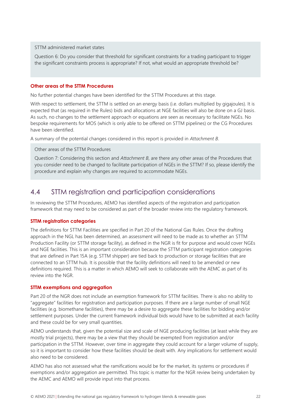#### STTM administered market states

Question 6: Do you consider that threshold for significant constraints for a trading participant to trigger the significant constraints process is appropriate? If not, what would an appropriate threshold be?

#### **Other areas of the STTM Procedures**

No further potential changes have been identified for the STTM Procedures at this stage.

With respect to settlement, the STTM is settled on an energy basis (i.e. dollars multiplied by gigajoules). It is expected that (as required in the Rules) bids and allocations at NGE facilities will also be done on a GJ basis. As such, no changes to the settlement approach or equations are seen as necessary to facilitate NGEs. No bespoke requirements for MOS (which is only able to be offered on STTM pipelines) or the CG Procedures have been identified.

A summary of the potential changes considered in this report is provided in *Attachment B*.

Other areas of the STTM Procedures

Question 7: Considering this section and *Attachment B*, are there any other areas of the Procedures that you consider need to be changed to facilitate participation of NGEs in the STTM? If so, please identify the procedure and explain why changes are required to accommodate NGEs.

## <span id="page-21-0"></span>4.4 STTM registration and participation considerations

In reviewing the STTM Procedures, AEMO has identified aspects of the registration and participation framework that may need to be considered as part of the broader review into the regulatory framework.

### **STTM registration categories**

The definitions for STTM Facilities are specified in Part 20 of the National Gas Rules. Once the drafting approach in the NGL has been determined, an assessment will need to be made as to whether an STTM Production Facility (or STTM storage facility), as defined in the NGR is fit for purpose and would cover NGEs and NGE facilities. This is an important consideration because the STTM participant registration categories that are defined in Part 15A (e.g. STTM shipper) are tied back to production or storage facilities that are connected to an STTM hub. It is possible that the facility definitions will need to be amended or new definitions required. This is a matter in which AEMO will seek to collaborate with the AEMC as part of its review into the NGR.

### **STTM exemptions and aggregation**

Part 20 of the NGR does not include an exemption framework for STTM facilities. There is also no ability to "aggregate" facilities for registration and participation purposes. If there are a large number of small NGE facilities (e.g. biomethane facilities), there may be a desire to aggregate these facilities for bidding and/or settlement purposes. Under the current framework individual bids would have to be submitted at each facility and these could be for very small quantities.

AEMO understands that, given the potential size and scale of NGE producing facilities (at least while they are mostly trial projects), there may be a view that they should be exempted from registration and/or participation in the STTM. However, over time in aggregate they could account for a larger volume of supply, so it is important to consider how these facilities should be dealt with. Any implications for settlement would also need to be considered.

AEMO has also not assessed what the ramifications would be for the market, its systems or procedures if exemptions and/or aggregation are permitted. This topic is matter for the NGR review being undertaken by the AEMC and AEMO will provide input into that process.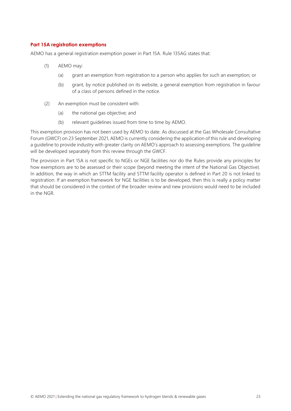### **Part 15A registration exemptions**

AEMO has a general registration exemption power in Part 15A. Rule 135AG states that:

- (1) AEMO may:
	- (a) grant an exemption from registration to a person who applies for such an exemption; or
	- (b) grant, by notice published on its website, a general exemption from registration in favour of a class of persons defined in the notice.
- (2) An exemption must be consistent with:
	- (a) the national gas objective; and
	- (b) relevant guidelines issued from time to time by AEMO.

This exemption provision has not been used by AEMO to date. As discussed at the Gas Wholesale Consultative Forum (GWCF) on 23 September 2021, AEMO is currently considering the application of this rule and developing a guideline to provide industry with greater clarity on AEMO's approach to assessing exemptions. The guideline will be developed separately from this review through the GWCF.

The provision in Part 15A is not specific to NGEs or NGE facilities nor do the Rules provide any principles for how exemptions are to be assessed or their scope (beyond meeting the intent of the National Gas Objective). In addition, the way in which an STTM facility and STTM facility operator is defined in Part 20 is not linked to registration. If an exemption framework for NGE facilities is to be developed, then this is really a policy matter that should be considered in the context of the broader review and new provisions would need to be included in the NGR.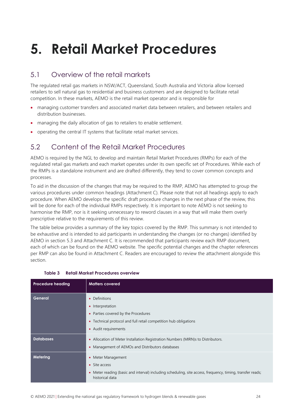## <span id="page-23-0"></span>**5. Retail Market Procedures**

## <span id="page-23-1"></span>5.1 Overview of the retail markets

The regulated retail gas markets in NSW/ACT, Queensland, South Australia and Victoria allow licensed retailers to sell natural gas to residential and business customers and are designed to facilitate retail competition. In these markets, AEMO is the retail market operator and is responsible for

- managing customer transfers and associated market data between retailers, and between retailers and distribution businesses.
- managing the daily allocation of gas to retailers to enable settlement.
- operating the central IT systems that facilitate retail market services.

## <span id="page-23-2"></span>5.2 Content of the Retail Market Procedures

AEMO is required by the NGL to develop and maintain Retail Market Procedures (RMPs) for each of the regulated retail gas markets and each market operates under its own specific set of Procedures. While each of the RMPs is a standalone instrument and are drafted differently, they tend to cover common concepts and processes.

To aid in the discussion of the changes that may be required to the RMP, AEMO has attempted to group the various procedures under common headings (Attachment C). Please note that not all headings apply to each procedure. When AEMO develops the specific draft procedure changes in the next phase of the review, this will be done for each of the individual RMPs respectively. It is important to note AEMO is not seeking to harmonise the RMP, nor is it seeking unnecessary to reword clauses in a way that will make them overly prescriptive relative to the requirements of this review.

The table below provides a summary of the key topics covered by the RMP. This summary is not intended to be exhaustive and is intended to aid participants in understanding the changes (or no changes) identified by AEMO in section 5.3 and Attachment C. It is recommended that participants review each RMP document, each of which can be found on the AEMO website. The specific potential changes and the chapter references per RMP can also be found in Attachment C. Readers are encouraged to review the attachment alongside this section.

| <b>Procedure heading</b> | <b>Matters covered</b>                                                                                                                                                       |
|--------------------------|------------------------------------------------------------------------------------------------------------------------------------------------------------------------------|
| General                  | • Definitions<br>Interpretation<br>$\bullet$<br>• Parties covered by the Procedures<br>Technical protocol and full retail competition hub obligations<br>٠                   |
| <b>Databases</b>         | • Audit requirements<br>• Allocation of Meter Installation Registration Numbers (MIRN)s to Distributors.<br>• Management of AEMOs and Distributors databases                 |
| Metering                 | • Meter Management<br>$\bullet$ Site access<br>• Meter reading (basic and interval) including scheduling, site access, frequency, timing, transfer reads;<br>historical data |

### <span id="page-23-3"></span>**Table 3 Retail Market Procedures overview**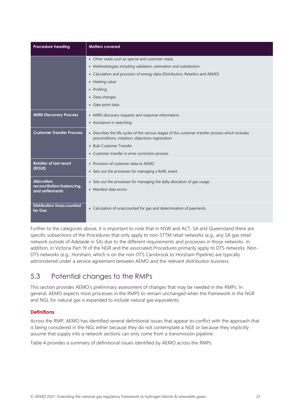| <b>Procedure heading</b>                                    | <b>Matters covered</b>                                                                                                                                                                                                                                                           |
|-------------------------------------------------------------|----------------------------------------------------------------------------------------------------------------------------------------------------------------------------------------------------------------------------------------------------------------------------------|
|                                                             | • Other reads such as special and customer reads.<br>• Methodologies including validation, estimation and substitution<br>• Calculation and provision of energy data (Distributors, Retailers and AEMO)<br>• Heating value<br>• Profiling<br>• Data changes<br>• Gate point data |
| <b>MIRN Discovery Process</b>                               | • MIRN discovery requests and response information,<br>• Assistance in searching.                                                                                                                                                                                                |
| <b>Customer Transfer Process</b>                            | • Describes the life cycles of the various stages of the customer transfer process which includes<br>preconditions, initiation, objections registration<br>• Bulk Customer Transfer<br>• Customer transfer in error correction process                                           |
| <b>Retailer of last resort</b><br>(ROLR)                    | • Provision of customer data to AEMO<br>• Sets out the processes for managing a RoRL event.                                                                                                                                                                                      |
| Allocation,<br>reconciliation/balancing,<br>and settlements | • Sets out the processes for managing the daily allocation of gas usage.<br>• Manifest data errors                                                                                                                                                                               |
| <b>Distribution Unaccounted</b><br>for Gas                  | • Calculation of unaccounted for gas and determination of payments.                                                                                                                                                                                                              |

Further to the categories above, it is important to note that in NSW and ACT, SA and Queensland there are specific subsections of the Procedures that only apply to non-STTM retail networks (e.g., any SA gas retail network outside of Adelaide in SA) due to the different requirements and processes in those networks. In addition, in Victoria Part 19 of the NGR and the associated Procedures primarily apply to DTS networks. Non-DTS networks (e.g., Horsham, which is on the non-DTS Carisbrook to Horsham Pipeline) are typically administered under a service agreement between AEMO and the relevant distribution business.

## <span id="page-24-0"></span>5.3 Potential changes to the RMPs

This section provides AEMO's preliminary assessment of changes that may be needed in the RMPs. In general, AEMO expects most processes in the RMPS to remain unchanged when the framework in the NGR and NGL for natural gas is expanded to include natural gas equivalents.

## **Definitions**

Across the RMP, AEMO has identified several definitional issues that appear to conflict with the approach that is being considered in the NGL either because they do not contemplate a NGE *or* because they implicitly assume that supply into a network sections can only come from a transmission pipeline.

Table 4 provides a summary of definitional issues identified by AEMO across the RMPs.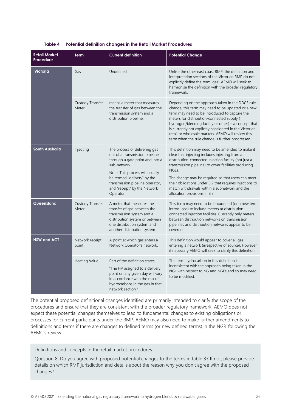<span id="page-25-0"></span>

| <b>Retail Market</b><br>Procedure | Term                      | <b>Current definition</b>                                                                                                                                                                                                                                             | <b>Potential Change</b>                                                                                                                                                                                                                                                                                                                                                                                                            |
|-----------------------------------|---------------------------|-----------------------------------------------------------------------------------------------------------------------------------------------------------------------------------------------------------------------------------------------------------------------|------------------------------------------------------------------------------------------------------------------------------------------------------------------------------------------------------------------------------------------------------------------------------------------------------------------------------------------------------------------------------------------------------------------------------------|
| <b>Victoria</b>                   | Gas                       | Undefined                                                                                                                                                                                                                                                             | Unlike the other east coast RMP, the definition and<br>interpretation sections of the Victorian RMP do not<br>explicitly define the term 'gas'. AEMO will seek to<br>harmonise the definition with the broader regulatory<br>framework.                                                                                                                                                                                            |
|                                   | Custody Transfer<br>Meter | means a meter that measures<br>the transfer of gas between the<br>transmission system and a<br>distribution pipeline.                                                                                                                                                 | Depending on the approach taken in the DDCF rule<br>change, this term may need to be updated or a new<br>term may need to be introduced to capture the<br>meters for distribution-connected supply (<br>hydrogen/blending facility or other) - a concept that<br>is currently not explicitly considered in the Victorian<br>retail or wholesale markets. AEMO will review this<br>term when the rule change is further progressed. |
| <b>South Australia</b>            | Injecting                 | The process of delivering gas<br>out of a transmission pipeline,<br>through a gate point and into a<br>sub-network.<br>Note: This process will usually<br>be termed "delivery" by the<br>transmission pipeline operator,<br>and "receipt" by the Network<br>Operator. | This definition may need to be amended to make it<br>clear that injecting includes injecting from a<br>distribution-connected injection facility (not just a<br>transmission pipeline) to cover facilities producing<br>NGEs.<br>The change may be required so that users can meet<br>their obligations under 8.2 that requires injections to<br>match withdrawals within a subnetwork and the<br>allocation provisions in 8.3.    |
| Queensland                        | Custody Transfer<br>Meter | A meter that measures the<br>transfer of gas between the<br>transmission system and a<br>distribution system or between<br>one distribution system and<br>another distribution system.                                                                                | This term may need to be broadened (or a new term<br>introduced) to include meters at distribution-<br>connected injection facilities. Currently only meters<br>between distribution networks on transmission<br>pipelines and distribution networks appear to be<br>covered.                                                                                                                                                      |
| <b>NSW and ACT</b>                | Network receipt<br>point  | A point at which gas enters a<br>Network Operator's network.                                                                                                                                                                                                          | This definition would appear to cover all gas<br>entering a network (irrespective of source). However,<br>if necessary AEMO will seek to clarify this definition.                                                                                                                                                                                                                                                                  |
|                                   | <b>Heating Value</b>      | Part of the definition states:<br>"The HV assigned to a delivery<br>point on any given day will vary<br>in accordance with the mix of<br>hydrocarbons in the gas in that<br>network section."                                                                         | The term hydrocarbon in this definition is<br>inconsistent with the approach being taken in the<br>NGL with respect to NG and NGEs and so may need<br>to be modified.                                                                                                                                                                                                                                                              |

#### **Table 4 Potential definition changes in the Retail Market Procedures**

The potential proposed definitional changes identified are primarily intended to clarify the scope of the procedures and ensure that they are consistent with the broader regulatory framework. AEMO does not expect these potential changes themselves to lead to fundamental changes to existing obligations or processes for current participants under the RMP. AEMO may also need to make further amendments to definitions and terms if there are changes to defined terms (or new defined terms) in the NGR following the AEMC's review.

Definitions and concepts in the retail market procedures

Question 8: Do you agree with proposed potential changes to the terms in table 3? If not, please provide details on which RMP jurisdiction and details about the reason why you don't agree with the proposed changes?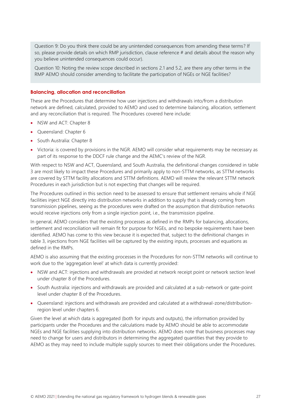Question 9: Do you think there could be any unintended consequences from amending these terms? If so, please provide details on which RMP jurisdiction, clause reference # and details about the reason why you believe unintended consequences could occur).

Question 10: Noting the review scope described in sections 2.1 and 5.2, are there any other terms in the RMP AEMO should consider amending to facilitate the participation of NGEs or NGE facilities?

#### **Balancing, allocation and reconciliation**

These are the Procedures that determine how user injections and withdrawals into/from a distribution network are defined, calculated, provided to AEMO and used to determine balancing, allocation, settlement and any reconciliation that is required. The Procedures covered here include:

- NSW and ACT: Chapter 8
- Queensland: Chapter 6
- South Australia: Chapter 8
- Victoria: is covered by provisions in the NGR. AEMO will consider what requirements may be necessary as part of its response to the DDCF rule change and the AEMC's review of the NGR.

With respect to NSW and ACT, Queensland, and South Australia, the definitional changes considered in table 3 are most likely to impact these Procedures and primarily apply to non-STTM networks, as STTM networks are covered by STTM facility allocations and STTM definitions. AEMO will review the relevant STTM network Procedures in each jurisdiction but is not expecting that changes will be required.

The Procedures outlined in this section need to be assessed to ensure that settlement remains whole if NGE facilities inject NGE directly into distribution networks in addition to supply that is already coming from transmission pipelines, seeing as the procedures were drafted on the assumption that distribution networks would receive injections only from a single injection point, i.e., the transmission pipeline.

In general, AEMO considers that the existing processes as defined in the RMPs for balancing, allocations, settlement and reconciliation will remain fit for purpose for NGEs, and no bespoke requirements have been identified. AEMO has come to this view because it is expected that, subject to the definitional changes in table 3, injections from NGE facilities will be captured by the existing inputs, processes and equations as defined in the RMPs.

AEMO is also assuming that the existing processes in the Procedures for non-STTM networks will continue to work due to the 'aggregation level' at which data is currently provided:

- NSW and ACT: injections and withdrawals are provided at network receipt point or network section level under chapter 8 of the Procedures.
- South Australia: injections and withdrawals are provided and calculated at a sub-network or gate-point level under chapter 8 of the Procedures.
- Queensland: injections and withdrawals are provided and calculated at a withdrawal-zone/distributionregion level under chapters 6.

Given the level at which data is aggregated (both for inputs and outputs), the information provided by participants under the Procedures and the calculations made by AEMO should be able to accommodate NGEs and NGE facilities supplying into distribution networks. AEMO does note that business processes may need to change for users and distributors in determining the aggregated quantities that they provide to AEMO as they may need to include multiple supply sources to meet their obligations under the Procedures.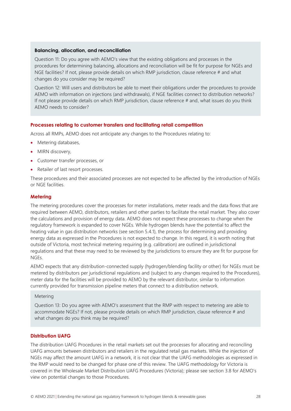#### **Balancing, allocation, and reconciliation**

Question 11: Do you agree with AEMO's view that the existing obligations and processes in the procedures for determining balancing, allocations and reconciliation will be fit for purpose for NGEs and NGE facilities? If not, please provide details on which RMP jurisdiction, clause reference # and what changes do you consider may be required?

Question 12: Will users and distributors be able to meet their obligations under the procedures to provide AEMO with information on injections (and withdrawals), if NGE facilities connect to distribution networks? If not please provide details on which RMP jurisdiction, clause reference # and, what issues do you think AEMO needs to consider?

### **Processes relating to customer transfers and facilitating retail competition**

Across all RMPs, AEMO does not anticipate any changes to the Procedures relating to:

- Metering databases,
- MIRN discovery,
- Customer transfer processes, or
- Retailer of last resort processes.

These procedures and their associated processes are not expected to be affected by the introduction of NGEs or NGE facilities.

#### **Metering**

The metering procedures cover the processes for meter installations, meter reads and the data flows that are required between AEMO, distributors, retailers and other parties to facilitate the retail market. They also cover the calculations and provision of energy data. AEMO does not expect these processes to change when the regulatory framework is expanded to cover NGEs. While hydrogen blends have the potential to affect the heating value in gas distribution networks (see section 5.4.1), the process for determining and providing energy data as expressed in the Procedures is not expected to change. In this regard, it is worth noting that outside of Victoria, most technical metering requiring (e.g. calibration) are outlined in jurisdictional regulations and that these may need to be reviewed by the jurisdictions to ensure they are fit for purpose for NGEs.

AEMO expects that any distribution-connected supply (hydrogen/blending facility or other) for NGEs must be metered by distributors per jurisdictional regulations and (subject to any changes required to the Procedures), meter data for the facilities will be provided to AEMO by the relevant distributor, similar to information currently provided for transmission pipeline meters that connect to a distribution network.

#### Metering

Question 13: Do you agree with AEMO's assessment that the RMP with respect to metering are able to accommodate NGEs? If not, please provide details on which RMP jurisdiction, clause reference # and what changes do you think may be required?

#### **Distribution UAFG**

The distribution UAFG Procedures in the retail markets set out the processes for allocating and reconciling UAFG amounts between distributors and retailers in the regulated retail gas markets. While the injection of NGEs may affect the amount UAFG in a network, it is not clear that the UAFG methodologies as expressed in the RMP would need to be changed for phase one of this review. The UAFG methodology for Victoria is covered in the Wholesale Market Distribution UAFG Procedures (Victoria); please see section 3.8 for AEMO's view on potential changes to those Procedures.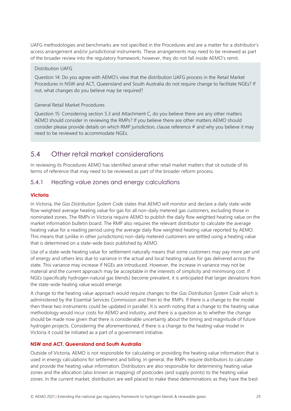UAFG methodologies and benchmarks are not specified in the Procedures and are a matter for a distributor's access arrangement and/or jurisdictional instruments. These arrangements may need to be reviewed as part of the broader review into the regulatory framework; however, they do not fall inside AEMO's remit.

#### Distribution UAFG

Question 14: Do you agree with AEMO's view that the distribution UAFG process in the Retail Market Procedures in NSW and ACT, Queensland and South Australia do not require change to facilitate NGEs? If not, what changes do you believe may be required?

## General Retail Market Procedures

Question 15: Considering section 5.3 and Attachment C, do you believe there are any other matters AEMO should consider in reviewing the RMPs? If you believe there are other matters AEMO should consider please provide details on which RMP jurisdiction, clause reference # and why you believe it may need to be reviewed to accommodate NGEs.

## <span id="page-28-0"></span>5.4 Other retail market considerations

In reviewing its Procedures AEMO has identified several other retail market matters that sit outside of its terms of reference that may need to be reviewed as part of the broader reform process.

## 5.4.1 Heating value zones and energy calculations

## **Victoria**

In Victoria, the *Gas Distribution System Code* states that AEMO will monitor and declare a daily state-wide flow-weighted average heating value for gas for all non-daily metered gas customers, excluding those in nominated zones. The RMPs in Victoria require AEMO to publish the daily flow weighted heating value on the market information bulletin board. The RMP also requires the relevant distributor to calculate the average heating value for a reading period using the average daily flow weighted heating value reported by AEMO. This means that (unlike in other jurisdictions) non-daily metered customers are settled using a heating value that is determined on a state-wide basis published by AEMO.

Use of a state-wide heating value for settlement naturally means that some customers may pay more per unit of energy and others less due to variance in the actual and local heating values for gas delivered across the state. This variance may increase if NGEs are introduced. However, the increase in variance may not be material and the current approach may be acceptable in the interests of simplicity and minimising cost. If NGEs (specifically hydrogen-natural gas blends) become prevalent, it is anticipated that larger deviations from the state-wide heating value would emerge.

A change to the heating value approach would require changes to the *Gas Distribution System Code* which is administered by the Essential Services Commission and then to the RMPs. If there is a change to the model then these two instruments could be updated in parallel. It is worth noting that a change to the heating value methodology would incur costs for AEMO and industry, and there is a question as to whether the change should be made now given that there is considerable uncertainty about the timing and magnitude of future hydrogen projects. Considering the aforementioned, if there is a change to the heating value model in Victoria it could be initiated as a part of a government initiative.

## **NSW and ACT, Queensland and South Australia**

Outside of Victoria, AEMO is not responsible for calculating or providing the heating value information that is used in energy calculations for settlement and billing. In general, the RMPs require distributors to calculate and provide the heating value information. Distributors are also responsible for determining heating value zones and the allocation (also known as mapping) of postcodes (and supply points) to the heating value zones. In the current market, distributors are well placed to make these determinations as they have the best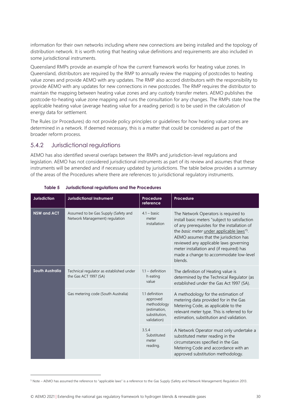information for their own networks including where new connections are being installed and the topology of distribution network. It is worth noting that heating value definitions and requirements are also included in some jurisdictional instruments.

Queensland RMPs provide an example of how the current framework works for heating value zones. In Queensland, distributors are required by the RMP to annually review the mapping of postcodes to heating value zones and provide AEMO with any updates. The RMP also accord distributors with the responsibility to provide AEMO with any updates for new connections in new postcodes. The RMP requires the distributor to maintain the mapping between heating value zones and any custody transfer meters. AEMO publishes the postcode-to-heating value zone mapping and runs the consultation for any changes. The RMPs state how the applicable heating value (average heating value for a reading period) is to be used in the calculation of energy data for settlement.

The Rules (or Procedures) do not provide policy principles or guidelines for how heating value zones are determined in a network. If deemed necessary, this is a matter that could be considered as part of the broader reform process.

## 5.4.2 Jurisdictional regulations

AEMO has also identified several overlaps between the RMPs and jurisdiction-level regulations and legislation. AEMO has not considered jurisdictional instruments as part of its review and assumes that these instruments will be amended and if necessary updated by jurisdictions. The table below provides a summary of the areas of the Procedures where there are references to jurisdictional regulatory instruments.

<span id="page-29-0"></span>

| <b>Jurisdiction</b>    | <b>Jurisdictional Instrument</b>                                       | <b>Procedure</b><br>reference                                                             | <b>Procedure</b>                                                                                                                                                                                                                                                                                                                                                             |
|------------------------|------------------------------------------------------------------------|-------------------------------------------------------------------------------------------|------------------------------------------------------------------------------------------------------------------------------------------------------------------------------------------------------------------------------------------------------------------------------------------------------------------------------------------------------------------------------|
| <b>NSW and ACT</b>     | Assumed to be Gas Supply (Safety and<br>Network Management) regulation | $4.1 - basic$<br>meter<br>installation                                                    | The Network Operators is required to<br>install basic meters "subject to satisfaction<br>of any prerequisites for the installation of<br>the basic meter under applicable laws"5.<br>AEMO assumes that the jurisdiction has<br>reviewed any applicable laws governing<br>meter installation and (if required) has<br>made a change to accommodate low-level<br><b>blends</b> |
| <b>South Australia</b> | Technical regulator as established under<br>the Gas ACT 1997 (SA)      | $1.1 -$ definition<br>h eating<br>value                                                   | The definition of Heating value is<br>determined by the Technical Regulator (as<br>established under the Gas Act 1997 (SA).                                                                                                                                                                                                                                                  |
|                        | Gas metering code (South Australia)                                    | 1.1 definition<br>approved<br>methodology<br>(estimation,<br>substitution,<br>validation) | A methodology for the estimation of<br>metering data provided for in the Gas<br>Metering Code, as applicable to the<br>relevant meter type. This is referred to for<br>estimation, substitution and validation.                                                                                                                                                              |
|                        |                                                                        | 3.5.4<br>Substituted<br>meter<br>reading.                                                 | A Network Operator must only undertake a<br>substituted meter reading in the<br>circumstances specified in the Gas<br>Metering Code and accordance with an<br>approved substitution methodology.                                                                                                                                                                             |

## **Table 5 Jurisdictional regulations and the Procedures**

<sup>&</sup>lt;sup>5</sup> Note – AEMO has assumed the reference to "applicable laws" is a reference to the Gas Supply (Safety and Network Management) Regulation 2013.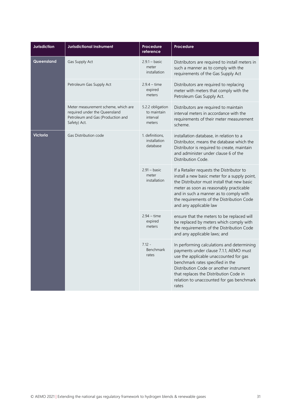| <b>Jurisdiction</b>                      | <b>Jurisdictional Instrument</b>                                                                                          | Procedure<br>reference                                | <b>Procedure</b>                                                                                                                                                                                                                                                                                              |
|------------------------------------------|---------------------------------------------------------------------------------------------------------------------------|-------------------------------------------------------|---------------------------------------------------------------------------------------------------------------------------------------------------------------------------------------------------------------------------------------------------------------------------------------------------------------|
| Queensland                               | Gas Supply Act                                                                                                            | $2.9.1 - basic$<br>meter<br>installation              | Distributors are required to install meters in<br>such a manner as to comply with the<br>requirements of the Gas Supply Act                                                                                                                                                                                   |
|                                          | Petroleum Gas Supply Act                                                                                                  | $2.9.4 - time$<br>expired<br>meters                   | Distributors are required to replacing<br>meter with meters that comply with the<br>Petroleum Gas Supply Act.                                                                                                                                                                                                 |
|                                          | Meter measurement scheme, which are<br>required under the Queensland<br>Petroleum and Gas (Production and<br>Safety) Act. | 5.2.2 obligation<br>to maintain<br>interval<br>meters | Distributors are required to maintain<br>interval meters in accordance with the<br>requirements of their meter measurement<br>scheme.                                                                                                                                                                         |
| <b>Victoria</b><br>Gas Distribution code |                                                                                                                           | 1. definitions,<br>installation<br>database           | installation database, in relation to a<br>Distributor, means the database which the<br>Distributor is required to create, maintain<br>and administer under clause 6 of the<br>Distribution Code.                                                                                                             |
|                                          |                                                                                                                           | $2.91 - basic$<br>meter<br>installation               | If a Retailer requests the Distributor to<br>install a new basic meter for a supply point,<br>the Distributor must install that new basic<br>meter as soon as reasonably practicable<br>and in such a manner as to comply with<br>the requirements of the Distribution Code<br>and any applicable law         |
|                                          |                                                                                                                           | $2.94 - time$<br>expired<br>meters                    | ensure that the meters to be replaced will<br>be replaced by meters which comply with<br>the requirements of the Distribution Code<br>and any applicable laws; and                                                                                                                                            |
|                                          |                                                                                                                           | $7.12 -$<br>Benchmark<br>rates                        | In performing calculations and determining<br>payments under clause 7.1.1, AEMO must<br>use the applicable unaccounted for gas<br>benchmark rates specified in the<br>Distribution Code or another instrument<br>that replaces the Distribution Code in<br>relation to unaccounted for gas benchmark<br>rates |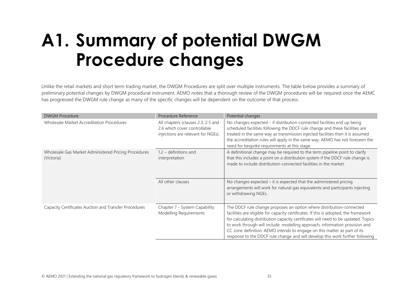# **A1. Summary of potential DWGM Procedure changes**

Unlike the retail markets and short term trading market, the DWGM Procedures are split over multiple instruments. The table below provides a summary of preliminary potential changes by DWGM procedural instrument. AEMO notes that a thorough review of the DWGM procedures will be required once the AEMC has progressed the DWGM rule change as many of the specific changes will be dependent on the outcome of that process.

<span id="page-32-0"></span>

| <b>DWGM Procedure</b>                                              | Procedure Reference                                                                                      | Potential changes                                                                                                                                                                                                                                                                                                                                                                                                                                                                              |
|--------------------------------------------------------------------|----------------------------------------------------------------------------------------------------------|------------------------------------------------------------------------------------------------------------------------------------------------------------------------------------------------------------------------------------------------------------------------------------------------------------------------------------------------------------------------------------------------------------------------------------------------------------------------------------------------|
| Wholesale Market Accreditation Procedures                          | All chapters (clauses 2.3, 2.5 and<br>2.6 which cover controllable<br>injections are relevant for NGEs). | No changes expected – if distribution-connected facilities end up being<br>scheduled facilities following the DDCF rule change and these facilities are<br>treated in the same way as transmission injected facilities then it is assumed<br>the accreditation rules will apply in the same way. AEMO has not foreseen the<br>need for bespoke requirements at this stage.                                                                                                                     |
| Wholesale Gas Market Administered Pricing Procedures<br>(Victoria) | $1.2$ – definitions and<br>interpretation                                                                | A definitional change may be required to the term pipeline point to clarify<br>that this includes a point on a distribution system if the DDCF rule change is<br>made to include distribution-connected facilities in the market.                                                                                                                                                                                                                                                              |
|                                                                    | All other clauses                                                                                        | No changes expected $-$ it is expected that the administered pricing<br>arrangements will work for natural gas equivalents and participants injecting<br>or withdrawing NGEs.                                                                                                                                                                                                                                                                                                                  |
| Capacity Certificates Auction and Transfer Procedures              | Chapter 7 - System Capability<br>Modelling Requirements                                                  | The DDCF rule change proposes an option where distribution-connected<br>facilities are eligible for capacity certificates. If this is adopted, the framework<br>for calculating distribution capacity certificates will need to be updated. Topics<br>to work through will include: modelling approach, information provision and<br>CC zone definition. AEMO intends to engage on this matter as part of its<br>response to the DDCF rule change and will develop this work further following |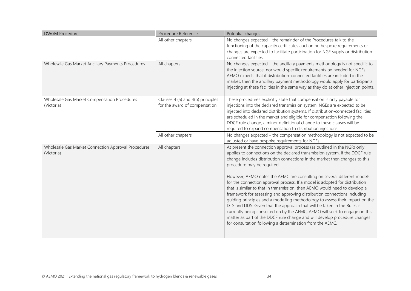| <b>DWGM Procedure</b>                                             | Procedure Reference                                                | Potential changes                                                                                                                                                                                                                                                                                                                                                                                                                                                                                                                                                                                                                                                                                                                                                                                                                                                                                                                                                            |
|-------------------------------------------------------------------|--------------------------------------------------------------------|------------------------------------------------------------------------------------------------------------------------------------------------------------------------------------------------------------------------------------------------------------------------------------------------------------------------------------------------------------------------------------------------------------------------------------------------------------------------------------------------------------------------------------------------------------------------------------------------------------------------------------------------------------------------------------------------------------------------------------------------------------------------------------------------------------------------------------------------------------------------------------------------------------------------------------------------------------------------------|
|                                                                   | All other chapters                                                 | No changes expected - the remainder of the Procedures talk to the<br>functioning of the capacity certificates auction no bespoke requirements or<br>changes are expected to facilitate participation for NGE supply or distribution-<br>connected facilities.                                                                                                                                                                                                                                                                                                                                                                                                                                                                                                                                                                                                                                                                                                                |
| Wholesale Gas Market Ancillary Payments Procedures                | All chapters                                                       | No changes expected - the ancillary payments methodology is not specific to<br>the injection source, nor would specific requirements be needed for NGEs.<br>AEMO expects that if distribution-connected facilities are included in the<br>market, then the ancillary payment methodology would apply for participants<br>injecting at these facilities in the same way as they do at other injection points.                                                                                                                                                                                                                                                                                                                                                                                                                                                                                                                                                                 |
| Wholesale Gas Market Compensation Procedures<br>(Victoria)        | Clauses 4 (a) and 4(b) principles<br>for the award of compensation | These procedures explicitly state that compensation is only payable for<br>injections into the declared transmission system. NGEs are expected to be<br>injected into declared distribution systems. If distribution-connected facilities<br>are scheduled in the market and eligible for compensation following the<br>DDCF rule change, a minor definitional change to these clauses will be<br>required to expand compensation to distribution injections.                                                                                                                                                                                                                                                                                                                                                                                                                                                                                                                |
|                                                                   | All other chapters                                                 | No changes expected - the compensation methodology is not expected to be<br>adjusted or have bespoke requirements for NGEs.                                                                                                                                                                                                                                                                                                                                                                                                                                                                                                                                                                                                                                                                                                                                                                                                                                                  |
| Wholesale Gas Market Connection Approval Procedures<br>(Victoria) | All chapters                                                       | At present the connection approval process (as outlined in the NGR) only<br>applies to connections on the declared transmission system. If the DDCF rule<br>change includes distribution connections in the market then changes to this<br>procedure may be required.<br>However, AEMO notes the AEMC are consulting on several different models<br>for the connection approval process. If a model is adopted for distribution<br>that is similar to that in transmission, then AEMO would need to develop a<br>framework for assessing and approving distribution connections including<br>guiding principles and a modelling methodology to assess their impact on the<br>DTS and DDS. Given that the approach that will be taken in the Rules is<br>currently being consulted on by the AEMC, AEMO will seek to engage on this<br>matter as part of the DDCF rule change and will develop procedure changes<br>for consultation following a determination from the AEMC. |
|                                                                   |                                                                    |                                                                                                                                                                                                                                                                                                                                                                                                                                                                                                                                                                                                                                                                                                                                                                                                                                                                                                                                                                              |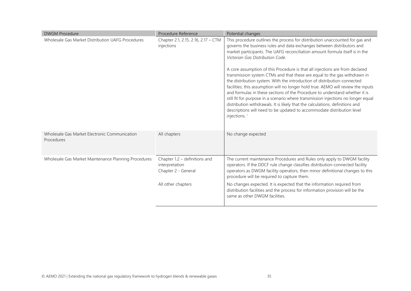| <b>DWGM Procedure</b>                                       | Procedure Reference                                                      | Potential changes                                                                                                                                                                                                                                                                                                                                                                                                                                                                                                                                                                                                                                                                                                                                                                                                                                                                                                                                      |
|-------------------------------------------------------------|--------------------------------------------------------------------------|--------------------------------------------------------------------------------------------------------------------------------------------------------------------------------------------------------------------------------------------------------------------------------------------------------------------------------------------------------------------------------------------------------------------------------------------------------------------------------------------------------------------------------------------------------------------------------------------------------------------------------------------------------------------------------------------------------------------------------------------------------------------------------------------------------------------------------------------------------------------------------------------------------------------------------------------------------|
| Wholesale Gas Market Distribution UAFG Procedures           | Chapter 2.1, 2.15, 2.16, 2.17 - CTM<br>injections                        | This procedure outlines the process for distribution unaccounted for gas and<br>governs the business rules and data exchanges between distributors and<br>market participants. The UAFG reconciliation amount formula itself is in the<br>Victorian Gas Distribution Code.<br>A core assumption of this Procedure is that all injections are from declared<br>transmission system CTMs and that these are equal to the gas withdrawn in<br>the distribution system. With the introduction of distribution-connected<br>facilities, this assumption will no longer hold true. AEMO will review the inputs<br>and formulas in these sections of the Procedure to understand whether it is<br>still fit for purpose in a scenario where transmission injections no longer equal<br>distribution withdrawals. It is likely that the calculations, definitions and<br>descriptions will need to be updated to accommodate distribution level<br>injections. |
| Wholesale Gas Market Electronic Communication<br>Procedures | All chapters                                                             | No change expected                                                                                                                                                                                                                                                                                                                                                                                                                                                                                                                                                                                                                                                                                                                                                                                                                                                                                                                                     |
| Wholesale Gas Market Maintenance Planning Procedures        | Chapter $1.2$ – definitions and<br>interpretation<br>Chapter 2 - General | The current maintenance Procedures and Rules only apply to DWGM facility<br>operators. If the DDCF rule change classifies distribution-connected facility<br>operators as DWGM facility operators, then minor definitional changes to this<br>procedure will be required to capture them.                                                                                                                                                                                                                                                                                                                                                                                                                                                                                                                                                                                                                                                              |
|                                                             | All other chapters                                                       | No changes expected. It is expected that the information required from<br>distribution facilities and the process for information provision will be the<br>same as other DWGM facilities.                                                                                                                                                                                                                                                                                                                                                                                                                                                                                                                                                                                                                                                                                                                                                              |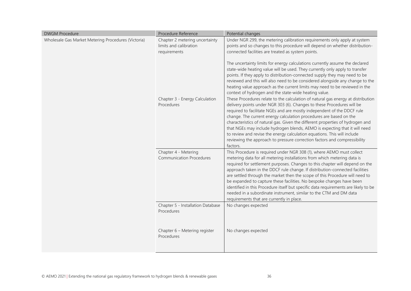| <b>DWGM Procedure</b>                               | Procedure Reference                                                      | Potential changes                                                                                                                                                                                                                                                                                                                                                                                                                                                                                                                                                                                                                                                                      |
|-----------------------------------------------------|--------------------------------------------------------------------------|----------------------------------------------------------------------------------------------------------------------------------------------------------------------------------------------------------------------------------------------------------------------------------------------------------------------------------------------------------------------------------------------------------------------------------------------------------------------------------------------------------------------------------------------------------------------------------------------------------------------------------------------------------------------------------------|
| Wholesale Gas Market Metering Procedures (Victoria) | Chapter 2 metering uncertainty<br>limits and calibration<br>requirements | Under NGR 299, the metering calibration requirements only apply at system<br>points and so changes to this procedure will depend on whether distribution-<br>connected facilities are treated as system points.<br>The uncertainty limits for energy calculations currently assume the declared<br>state-wide heating value will be used. They currently only apply to transfer<br>points. If they apply to distribution-connected supply they may need to be<br>reviewed and this will also need to be considered alongside any change to the<br>heating value approach as the current limits may need to be reviewed in the<br>context of hydrogen and the state-wide heating value. |
|                                                     | Chapter 3 - Energy Calculation<br>Procedures                             | These Procedures relate to the calculation of natural gas energy at distribution<br>delivery points under NGR 303 (6). Changes to these Procedures will be<br>required to facilitate NGEs and are mostly independent of the DDCF rule<br>change. The current energy calculation procedures are based on the<br>characteristics of natural gas. Given the different properties of hydrogen and<br>that NGEs may include hydrogen blends, AEMO is expecting that it will need<br>to review and revise the energy calculation equations. This will include<br>reviewing the approach to pressure correction factors and compressibility<br>factors.                                       |
|                                                     | Chapter 4 - Metering<br><b>Communication Procedures</b>                  | This Procedure is required under NGR 308 (1), where AEMO must collect<br>metering data for all metering installations from which metering data is<br>required for settlement purposes. Changes to this chapter will depend on the<br>approach taken in the DDCF rule change. If distribution-connected facilities<br>are settled through the market then the scope of this Procedure will need to<br>be expanded to capture these facilities. No bespoke changes have been<br>identified in this Procedure itself but specific data requirements are likely to be<br>needed in a subordinate instrument, similar to the CTM and DM data<br>requirements that are currently in place.   |
|                                                     | Chapter 5 - Installation Database<br>Procedures                          | No changes expected                                                                                                                                                                                                                                                                                                                                                                                                                                                                                                                                                                                                                                                                    |
|                                                     | Chapter 6 - Metering register<br>Procedures                              | No changes expected                                                                                                                                                                                                                                                                                                                                                                                                                                                                                                                                                                                                                                                                    |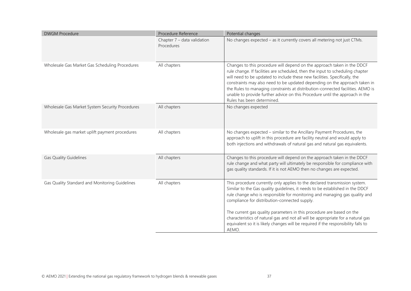| <b>DWGM Procedure</b>                           | Procedure Reference                       | Potential changes                                                                                                                                                                                                                                                                                                                                                                                                                                                                                                      |
|-------------------------------------------------|-------------------------------------------|------------------------------------------------------------------------------------------------------------------------------------------------------------------------------------------------------------------------------------------------------------------------------------------------------------------------------------------------------------------------------------------------------------------------------------------------------------------------------------------------------------------------|
|                                                 | Chapter 7 - data validation<br>Procedures | No changes expected - as it currently covers all metering not just CTMs.                                                                                                                                                                                                                                                                                                                                                                                                                                               |
| Wholesale Gas Market Gas Scheduling Procedures  | All chapters                              | Changes to this procedure will depend on the approach taken in the DDCF<br>rule change. If facilities are scheduled, then the input to scheduling chapter<br>will need to be updated to include these new facilities. Specifically, the<br>constraints may also need to be updated depending on the approach taken in<br>the Rules to managing constraints at distribution-connected facilities. AEMO is<br>unable to provide further advice on this Procedure until the approach in the<br>Rules has been determined. |
| Wholesale Gas Market System Security Procedures | All chapters                              | No changes expected                                                                                                                                                                                                                                                                                                                                                                                                                                                                                                    |
| Wholesale gas market uplift payment procedures  | All chapters                              | No changes expected - similar to the Ancillary Payment Procedures, the<br>approach to uplift in this procedure are facility neutral and would apply to<br>both injections and withdrawals of natural gas and natural gas equivalents.                                                                                                                                                                                                                                                                                  |
| <b>Gas Quality Guidelines</b>                   | All chapters                              | Changes to this procedure will depend on the approach taken in the DDCF<br>rule change and what party will ultimately be responsible for compliance with<br>gas quality standards. If it is not AEMO then no changes are expected.                                                                                                                                                                                                                                                                                     |
| Gas Quality Standard and Monitoring Guidelines  | All chapters                              | This procedure currently only applies to the declared transmission system.<br>Similar to the Gas quality guidelines, it needs to be established in the DDCF<br>rule change who is responsible for monitoring and managing gas quality and<br>compliance for distribution-connected supply.<br>The current gas quality parameters in this procedure are based on the                                                                                                                                                    |
|                                                 |                                           | characteristics of natural gas and not all will be appropriate for a natural gas<br>equivalent so it is likely changes will be required if the responsibility falls to<br>AEMO.                                                                                                                                                                                                                                                                                                                                        |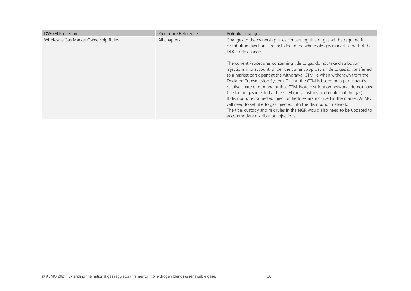| <b>DWGM Procedure</b>                | Procedure Reference | Potential changes                                                                                                                                                                                                                                                                                                                                                                                                                                                                                                                                                                                                                                                                                                                                                          |
|--------------------------------------|---------------------|----------------------------------------------------------------------------------------------------------------------------------------------------------------------------------------------------------------------------------------------------------------------------------------------------------------------------------------------------------------------------------------------------------------------------------------------------------------------------------------------------------------------------------------------------------------------------------------------------------------------------------------------------------------------------------------------------------------------------------------------------------------------------|
| Wholesale Gas Market Ownership Rules | All chapters        | Changes to the ownership rules concerning title of gas will be required if<br>distribution injections are included in the wholesale gas market as part of the<br>DDCF rule change                                                                                                                                                                                                                                                                                                                                                                                                                                                                                                                                                                                          |
|                                      |                     | The current Procedures concerning title to gas do not take distribution<br>injections into account. Under the current approach, title to gas is transferred<br>to a market participant at the withdrawal CTM i.e when withdrawn from the<br>Declared Transmission System. Title at the CTM is based on a participant's<br>relative share of demand at that CTM. Note distribution networks do not have<br>title to the gas injected at the CTM (only custody and control of the gas).<br>If distribution-connected injection facilities are included in the market, AEMO<br>will need to set title to gas injected into the distribution network.<br>The title, custody and risk rules in the NGR would also need to be updated to<br>accommodate distribution injections. |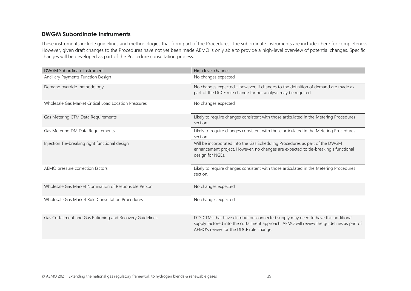## **DWGM Subordinate Instruments**

These instruments include guidelines and methodologies that form part of the Procedures. The subordinate instruments are included here for completeness. However, given draft changes to the Procedures have not yet been made AEMO is only able to provide a high-level overview of potential changes. Specific changes will be developed as part of the Procedure consultation process.

| DWGM Subordinate Instrument                               | High level changes                                                                                                                                                                                                        |
|-----------------------------------------------------------|---------------------------------------------------------------------------------------------------------------------------------------------------------------------------------------------------------------------------|
| Ancillary Payments Function Design                        | No changes expected                                                                                                                                                                                                       |
| Demand override methodology                               | No changes expected - however, if changes to the definition of demand are made as<br>part of the DCCF rule change further analysis may be required.                                                                       |
| Wholesale Gas Market Critical Load Location Pressures     | No changes expected                                                                                                                                                                                                       |
| Gas Metering CTM Data Requirements                        | Likely to require changes consistent with those articulated in the Metering Procedures<br>section.                                                                                                                        |
| Gas Metering DM Data Requirements                         | Likely to require changes consistent with those articulated in the Metering Procedures<br>section.                                                                                                                        |
| Injection Tie-breaking right functional design            | Will be incorporated into the Gas Scheduling Procedures as part of the DWGM<br>enhancement project. However, no changes are expected to tie-breaking's functional<br>design for NGEs.                                     |
| AEMO pressure correction factors                          | Likely to require changes consistent with those articulated in the Metering Procedures<br>section.                                                                                                                        |
| Wholesale Gas Market Nomination of Responsible Person     | No changes expected                                                                                                                                                                                                       |
| Wholesale Gas Market Rule Consultation Procedures         | No changes expected                                                                                                                                                                                                       |
| Gas Curtailment and Gas Rationing and Recovery Guidelines | DTS CTMs that have distribution-connected supply may need to have this additional<br>supply factored into the curtailment approach. AEMO will review the guidelines as part of<br>AEMO's review for the DDCF rule change. |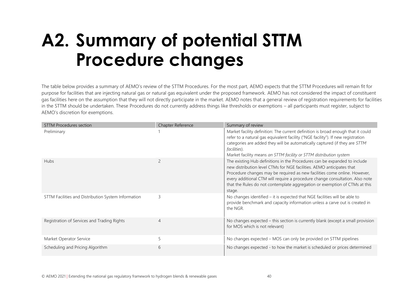# **A2. Summary of potential STTM Procedure changes**

The table below provides a summary of AEMO's review of the STTM Procedures. For the most part, AEMO expects that the STTM Procedures will remain fit for purpose for facilities that are injecting natural gas or natural gas equivalent under the proposed framework. AEMO has not considered the impact of constituent gas facilities here on the assumption that they will not directly participate in the market. AEMO notes that a general review of registration requirements for facilities in the STTM should be undertaken. These Procedures do not currently address things like thresholds or exemptions – all participants must register, subject to AEMO's discretion for exemptions.

<span id="page-39-0"></span>

| <b>STTM Procedures section</b>                      | Chapter Reference | Summary of review                                                                                                                                                                                                                                                                                                                                                                                       |
|-----------------------------------------------------|-------------------|---------------------------------------------------------------------------------------------------------------------------------------------------------------------------------------------------------------------------------------------------------------------------------------------------------------------------------------------------------------------------------------------------------|
| Preliminary                                         |                   | Market facility definition: The current definition is broad enough that it could<br>refer to a natural gas equivalent facility ("NGE facility"). If new registration<br>categories are added they will be automatically captured (if they are STTM<br><i>facilities</i> ).<br>Market facility means an STTM facility or STTM distribution system                                                        |
| <b>Hubs</b>                                         | $\overline{c}$    | The existing Hub definitions in the Procedures can be expanded to include<br>new distribution level CTMs for NGE facilities. AEMO anticipates that<br>Procedure changes may be required as new facilities come online. However,<br>every additional CTM will require a procedure change consultation. Also note<br>that the Rules do not contemplate aggregation or exemption of CTMs at this<br>stage. |
| STTM Facilities and Distribution System Information | 3                 | No changes identified - it is expected that NGE facilities will be able to<br>provide benchmark and capacity information unless a carve out is created in<br>the NGR.                                                                                                                                                                                                                                   |
| Registration of Services and Trading Rights         | $\overline{4}$    | No changes expected - this section is currently blank (except a small provision<br>for MOS which is not relevant)                                                                                                                                                                                                                                                                                       |
| Market Operator Service                             | 5                 | No changes expected - MOS can only be provided on STTM pipelines                                                                                                                                                                                                                                                                                                                                        |
| Scheduling and Pricing Algorithm                    | 6                 | No changes expected - to how the market is scheduled or prices determined                                                                                                                                                                                                                                                                                                                               |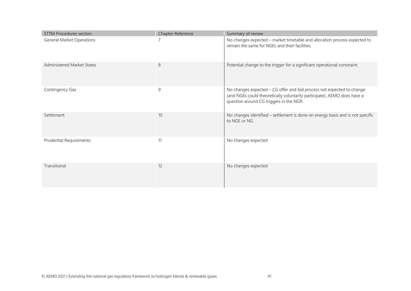| <b>STTM Procedures section</b>   | Chapter Reference | Summary of review                                                                                                                                                                            |
|----------------------------------|-------------------|----------------------------------------------------------------------------------------------------------------------------------------------------------------------------------------------|
| <b>General Market Operations</b> | 7                 | No changes expected - market timetable and allocation process expected to<br>remain the same for NGEs and their facilities.                                                                  |
| Administered Market States       | 8                 | Potential change to the trigger for a significant operational constraint.                                                                                                                    |
| Contingency Gas                  | 9                 | No changes expected - CG offer and bid process not expected to change<br>(and NGEs could theoretically voluntarily participate). AEMO does have a<br>question around CG triggers in the NGR. |
| Settlement                       | 10                | No changes identified - settlement is done on energy basis and is not specific<br>to NGE or NG.                                                                                              |
| <b>Prudential Requirements</b>   | 11                | No changes expected                                                                                                                                                                          |
| Transitional                     | 12                | No changes expected                                                                                                                                                                          |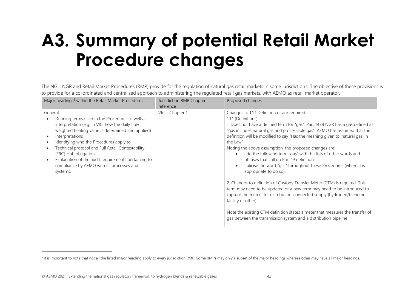# **A3. Summary of potential Retail Market Procedure changes**

The NGL, NGR and Retail Market Procedures (RMP) provide for the regulation of natural gas retail markets in some jurisdictions. The objective of these provisions is to provide for a co-ordinated and centralised approach to administering the regulated retail gas markets, with AEMO as retail market operator.

<span id="page-41-0"></span>

| Changes to 1.1.1 Definition of are required.<br>VIC - Chapter 1<br>General<br>1.1.1 (Definitions)<br>Defining terms used in the Procedures as well as                                                                                                                                                                                                                                                                                                                                                                                                                                                                                             | Major headings <sup>6</sup> within the Retail Market Procedures | Jurisdiction RMP Chapter<br>reference | Proposed changes                                                                                                                                                                                                                                                                                                                                                                                                                                                                                                                                                                                                                      |
|---------------------------------------------------------------------------------------------------------------------------------------------------------------------------------------------------------------------------------------------------------------------------------------------------------------------------------------------------------------------------------------------------------------------------------------------------------------------------------------------------------------------------------------------------------------------------------------------------------------------------------------------------|-----------------------------------------------------------------|---------------------------------------|---------------------------------------------------------------------------------------------------------------------------------------------------------------------------------------------------------------------------------------------------------------------------------------------------------------------------------------------------------------------------------------------------------------------------------------------------------------------------------------------------------------------------------------------------------------------------------------------------------------------------------------|
| weighted heating value is determined and applied)<br>Interpretations<br>Identifying who the Procedures apply to.<br>the Law"<br>Technical protocol and Full Retail Contestability<br>Noting the above assumption, the proposed changes are:<br>(FRC) Hub obligation.<br>add the following term "gas" with the lists of other words and<br>$\bullet$<br>Explanation of the audit requirements pertaining to<br>phrases that call up Part 19 definitions.<br>compliance by AEMO with its processes and<br>$\bullet$<br>appropriate to do so).<br>systems.<br>facility or other).<br>gas between the transmission system and a distribution pipeline | interpretation (e.g. In VIC, how the daily flow                 |                                       | 1. Does not have a defined term for "gas". Part 19 of NGR has a gas defined as<br>"gas includes natural gas and processable gas". AEMO has assumed that the<br>definition will be modified to say "Has the meaning given to 'natural gas' in<br>Italicise the word "gas" throughout these Procedures (where it is<br>2. Changes to definition of Custody Transfer Meter (CTM) is required. This<br>term may need to be updated or a new term may need to be introduced to<br>capture the meters for distribution-connected supply (hydrogen/blending<br>Note the existing CTM definition states a meter that measures the transfer of |

<sup>&</sup>lt;sup>6</sup> It is important to note that not all the listed major heading apply to every jurisdiction RMP. Some RMPs may only a subset of the major headings whereas other may have all major headings.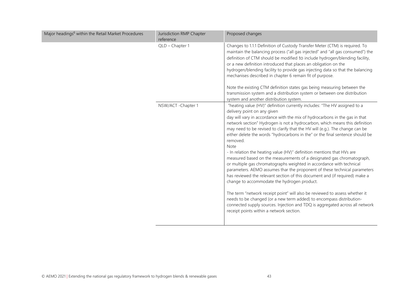| Major headings <sup>6</sup> within the Retail Market Procedures | Jurisdiction RMP Chapter<br>reference | Proposed changes                                                                                                                                                                                                                                                                                                                                                                                                                                                                                                                                                                                                                                                                                                                                                                                                                                                                                                                                                                                                                                                                                                                                                                     |
|-----------------------------------------------------------------|---------------------------------------|--------------------------------------------------------------------------------------------------------------------------------------------------------------------------------------------------------------------------------------------------------------------------------------------------------------------------------------------------------------------------------------------------------------------------------------------------------------------------------------------------------------------------------------------------------------------------------------------------------------------------------------------------------------------------------------------------------------------------------------------------------------------------------------------------------------------------------------------------------------------------------------------------------------------------------------------------------------------------------------------------------------------------------------------------------------------------------------------------------------------------------------------------------------------------------------|
|                                                                 | QLD - Chapter 1                       | Changes to 1.1.1 Definition of Custody Transfer Meter (CTM) is required. To<br>maintain the balancing process ("all gas injected" and "all gas consumed") the<br>definition of CTM should be modified to include hydrogen/blending facility,<br>or a new definition introduced that places an obligation on the<br>hydrogen/blending facility to provide gas injecting data so that the balancing<br>mechanises described in chapter 6 remain fit of purpose.                                                                                                                                                                                                                                                                                                                                                                                                                                                                                                                                                                                                                                                                                                                        |
|                                                                 |                                       | Note the existing CTM definition states gas being measuring between the<br>transmission system and a distribution system or between one distribution<br>system and another distribution system.                                                                                                                                                                                                                                                                                                                                                                                                                                                                                                                                                                                                                                                                                                                                                                                                                                                                                                                                                                                      |
|                                                                 | NSW/ACT - Chapter 1                   | "heating value (HV)" definition currently includes: "The HV assigned to a<br>delivery point on any given<br>day will vary in accordance with the mix of hydrocarbons in the gas in that<br>network section" Hydrogen is not a hydrocarbon, which means this definition<br>may need to be revised to clarify that the HV will (e.g.). The change can be<br>either delete the words "hydrocarbons in the" or the final sentence should be<br>removed.<br>Note<br>- In relation the heating value (HV)" definition mentions that HVs are<br>measured based on the measurements of a designated gas chromatograph,<br>or multiple gas chromatographs weighted in accordance with technical<br>parameters. AEMO assumes thar the proponent of these technical parameters<br>has reviewed the relevant section of this document and (if required) make a<br>change to accommodate the hydrogen product.<br>The term "network receipt point" will also be reviewed to assess whether it<br>needs to be changed (or a new term added) to encompass distribution-<br>connected supply sources. Injection and TDQ is aggregated across all network<br>receipt points within a network section. |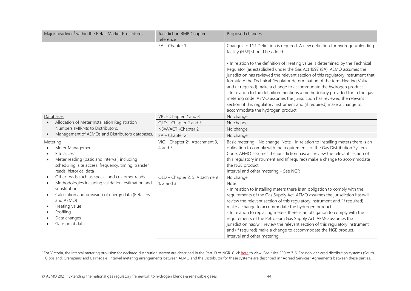| Major headings <sup>6</sup> within the Retail Market Procedures                                                                                                                                                                                                         | Jurisdiction RMP Chapter<br>reference           | Proposed changes                                                                                                                                                                                                                                                                                                                                                                                                                                                                                                                                                                                                                                                                  |
|-------------------------------------------------------------------------------------------------------------------------------------------------------------------------------------------------------------------------------------------------------------------------|-------------------------------------------------|-----------------------------------------------------------------------------------------------------------------------------------------------------------------------------------------------------------------------------------------------------------------------------------------------------------------------------------------------------------------------------------------------------------------------------------------------------------------------------------------------------------------------------------------------------------------------------------------------------------------------------------------------------------------------------------|
|                                                                                                                                                                                                                                                                         | SA - Chapter 1                                  | Changes to 1.1.1 Definition is required. A new definition for hydrogen/blending<br>facility (HBF) should be added.                                                                                                                                                                                                                                                                                                                                                                                                                                                                                                                                                                |
|                                                                                                                                                                                                                                                                         |                                                 | - In relation to the definition of Heating value is determined by the Technical<br>Regulator (as established under the Gas Act 1997 (SA). AEMO assumes the<br>jurisdiction has reviewed the relevant section of this regulatory instrument that<br>formulate the Technical Regulator determination of the term Heating Value<br>and (if required) make a change to accommodate the hydrogen product.<br>- In relation to the definition mentions a methodology provided for in the gas<br>metering code. AEMO assumes the jurisdiction has reviewed the relevant<br>section of this regulatory instrument and (if required) make a change to<br>accommodate the hydrogen product. |
| Databases                                                                                                                                                                                                                                                               | VIC - Chapter 2 and 3                           | No change                                                                                                                                                                                                                                                                                                                                                                                                                                                                                                                                                                                                                                                                         |
| Allocation of Meter Installation Registration<br>$\bullet$                                                                                                                                                                                                              | QLD - Chapter 2 and 3                           | No change                                                                                                                                                                                                                                                                                                                                                                                                                                                                                                                                                                                                                                                                         |
| Numbers (MIRN)s to Distributors.                                                                                                                                                                                                                                        | NSW/ACT - Chapter 2                             | No change                                                                                                                                                                                                                                                                                                                                                                                                                                                                                                                                                                                                                                                                         |
| Management of AEMOs and Distributors databases.                                                                                                                                                                                                                         | SA - Chapter 2                                  | No change                                                                                                                                                                                                                                                                                                                                                                                                                                                                                                                                                                                                                                                                         |
| Metering<br>Meter Management<br>Site access<br>$\bullet$<br>Meter reading (basic and interval) including<br>$\bullet$<br>scheduling, site access, frequency, timing, transfer<br>reads; historical data                                                                 | VIC – Chapter $2^7$ , Attachment 3,<br>4 and 5. | Basic metering - No change. Note - In relation to installing meters there is an<br>obligation to comply with the requirements of the Gas Distribution System<br>Code. AEMO assumes the jurisdiction has/will review the relevant section of<br>this regulatory instrument and (if required) make a change to accommodate<br>the NGE product.<br>Interval and other metering - See NGR                                                                                                                                                                                                                                                                                             |
| Other reads such as special and customer reads.<br>Methodologies including validation, estimation and<br>substitution<br>Calculation and provision of energy data (Retailers<br>$\bullet$<br>and AEMO)<br>Heating value<br>Profiling<br>Data changes<br>Gate point data | QLD - Chapter 2, 5, Attachment<br>1, 2 and 3    | No change.<br>Note<br>- In relation to installing meters there is an obligation to comply with the<br>requirements of the Gas Supply Act. AEMO assumes the jurisdiction has/will<br>review the relevant section of this regulatory instrument and (if required)<br>make a change to accommodate the hydrogen product.<br>- In relation to replacing meters there is an obligation to comply with the<br>requirements of the Petroleum Gas Supply Act. AEMO assumes the<br>jurisdiction has/will review the relevant section of this regulatory instrument<br>and (if required) make a change to accommodate the NGE product.                                                      |

 $^7$  For Victoria, the interval metering provision for declared distribution system are described in the Part 19 of NGR. Clic[k here](https://www.aemc.gov.au/sites/default/files/2021-05/NGR%20-%20v59%20-%20Part%2019.pdf) to view. See rules 290 to 316. For non-declared distribution systems (South Gippsland, Grampians and Bairnsdale) interval metering arrangements between AEMO and the Distributor for these systems are described in "Agreed Services" Agreements between these parties.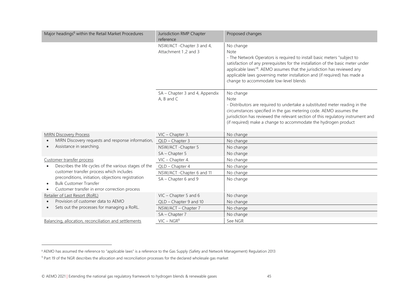| Major headings <sup>6</sup> within the Retail Market Procedures                                                                               | Jurisdiction RMP Chapter<br>reference              | Proposed changes                                                                                                                                                                                                                                                                                                                                                                              |
|-----------------------------------------------------------------------------------------------------------------------------------------------|----------------------------------------------------|-----------------------------------------------------------------------------------------------------------------------------------------------------------------------------------------------------------------------------------------------------------------------------------------------------------------------------------------------------------------------------------------------|
|                                                                                                                                               | NSW/ACT - Chapter 3 and 4,<br>Attachment 1,2 and 3 | No change<br>Note<br>- The Network Operators is required to install basic meters "subject to<br>satisfaction of any prerequisites for the installation of the basic meter under<br>applicable laws" <sup>8</sup> . AEMO assumes that the jurisdiction has reviewed any<br>applicable laws governing meter installation and (if required) has made a<br>change to accommodate low-level blends |
|                                                                                                                                               | SA - Chapter 3 and 4, Appendix<br>$A, B$ and $C$   | No change<br>Note<br>- Distributors are required to undertake a substituted meter reading in the<br>circumstances specified in the gas metering code. AEMO assumes the<br>jurisdiction has reviewed the relevant section of this regulatory instrument and<br>(if required) make a change to accommodate the hydrogen product                                                                 |
| <b>MIRN Discovery Process</b>                                                                                                                 | VIC - Chapter 3.                                   | No change                                                                                                                                                                                                                                                                                                                                                                                     |
| MIRN Discovery requests and response information,                                                                                             | QLD - Chapter 3                                    | No change                                                                                                                                                                                                                                                                                                                                                                                     |
| Assistance in searching.                                                                                                                      | NSW/ACT - Chapter 5                                | No change                                                                                                                                                                                                                                                                                                                                                                                     |
|                                                                                                                                               | SA - Chapter 5                                     | No change                                                                                                                                                                                                                                                                                                                                                                                     |
| Customer transfer process<br>Describes the life cycles of the various stages of the<br>customer transfer process which includes               | VIC - Chapter 4.                                   | No change                                                                                                                                                                                                                                                                                                                                                                                     |
|                                                                                                                                               | QLD - Chapter 4                                    | No change                                                                                                                                                                                                                                                                                                                                                                                     |
|                                                                                                                                               | NSW/ACT - Chapter 6 and 11                         | No change                                                                                                                                                                                                                                                                                                                                                                                     |
| preconditions, initiation, objections registration<br><b>Bulk Customer Transfer</b><br>Customer transfer in error correction process          | SA - Chapter 6 and 9                               | No change                                                                                                                                                                                                                                                                                                                                                                                     |
| Retailer of Last Resort (RoRL)<br>Provision of customer data to AEMO<br>$\bullet$<br>Sets out the processes for managing a RoRL.<br>$\bullet$ | VIC - Chapter 5 and 6                              | No change                                                                                                                                                                                                                                                                                                                                                                                     |
|                                                                                                                                               | QLD - Chapter 9 and 10                             | No change                                                                                                                                                                                                                                                                                                                                                                                     |
|                                                                                                                                               | NSW/ACT - Chapter 7                                | No change                                                                                                                                                                                                                                                                                                                                                                                     |
|                                                                                                                                               | SA - Chapter 7                                     | No change                                                                                                                                                                                                                                                                                                                                                                                     |
| Balancing, allocation, reconciliation and settlements                                                                                         | $VIC - NGR9$                                       | See NGR                                                                                                                                                                                                                                                                                                                                                                                       |

<sup>&</sup>lt;sup>8</sup> AEMO has assumed the reference to "applicable laws" is a reference to the Gas Supply (Safety and Network Management) Regulation 2013

<sup>9</sup> Part 19 of the NGR describes the allocation and reconciliation processes for the declared wholesale gas market